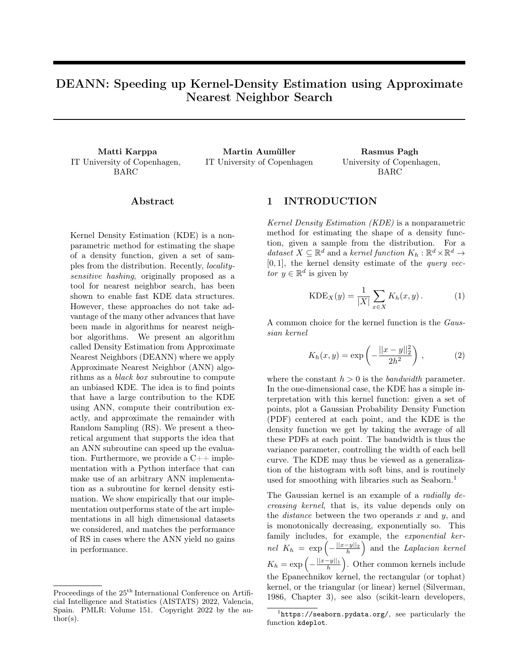# DEANN: Speeding up Kernel-Density Estimation using Approximate Nearest Neighbor Search

IT University of Copenhagen, BARC

Matti Karppa Martin Aumüller Rasmus Pagh IT University of Copenhagen University of Copenhagen,

BARC

#### Abstract

Kernel Density Estimation (KDE) is a nonparametric method for estimating the shape of a density function, given a set of samples from the distribution. Recently, localitysensitive hashing, originally proposed as a tool for nearest neighbor search, has been shown to enable fast KDE data structures. However, these approaches do not take advantage of the many other advances that have been made in algorithms for nearest neighbor algorithms. We present an algorithm called Density Estimation from Approximate Nearest Neighbors (DEANN) where we apply Approximate Nearest Neighbor (ANN) algorithms as a black box subroutine to compute an unbiased KDE. The idea is to find points that have a large contribution to the KDE using ANN, compute their contribution exactly, and approximate the remainder with Random Sampling (RS). We present a theoretical argument that supports the idea that an ANN subroutine can speed up the evaluation. Furthermore, we provide a  $C_{++}$  implementation with a Python interface that can make use of an arbitrary ANN implementation as a subroutine for kernel density estimation. We show empirically that our implementation outperforms state of the art implementations in all high dimensional datasets we considered, and matches the performance of RS in cases where the ANN yield no gains in performance.

## 1 INTRODUCTION

Kernel Density Estimation (KDE) is a nonparametric method for estimating the shape of a density function, given a sample from the distribution. For a dataset  $X \subseteq \mathbb{R}^d$  and a kernel function  $K_h : \mathbb{R}^d \times \mathbb{R}^d \to$  $[0, 1]$ , the kernel density estimate of the *query vec*tor  $y \in \mathbb{R}^d$  is given by

<span id="page-0-2"></span>
$$
KDE_X(y) = \frac{1}{|X|} \sum_{x \in X} K_h(x, y).
$$
 (1)

A common choice for the kernel function is the Gaussian kernel

<span id="page-0-1"></span>
$$
K_h(x, y) = \exp\left(-\frac{||x - y||_2^2}{2h^2}\right),
$$
 (2)

where the constant  $h > 0$  is the *bandwidth* parameter. In the one-dimensional case, the KDE has a simple interpretation with this kernel function: given a set of points, plot a Gaussian Probability Density Function (PDF) centered at each point, and the KDE is the density function we get by taking the average of all these PDFs at each point. The bandwidth is thus the variance parameter, controlling the width of each bell curve. The KDE may thus be viewed as a generalization of the histogram with soft bins, and is routinely used for smoothing with libraries such as Seaborn.<sup>[1](#page-0-0)</sup>

The Gaussian kernel is an example of a *radially de*creasing kernel, that is, its value depends only on the *distance* between the two operands  $x$  and  $y$ , and is monotonically decreasing, exponentially so. This family includes, for example, the exponential ker $nel\ K_h = \exp\left(-\frac{||x-y||_2}{h}\right)$  and the *Laplacian kernel*  $K_h = \exp\left(-\frac{||x-y||_1}{h}\right)$ . Other common kernels include the Epanechnikov kernel, the rectangular (or tophat) kernel, or the triangular (or linear) kernel [\(Silverman,](#page-12-0) [1986,](#page-12-0) Chapter 3), see also [\(scikit-learn developers,](#page-12-1)

Proceedings of the  $25<sup>th</sup>$  International Conference on Artificial Intelligence and Statistics (AISTATS) 2022, Valencia, Spain. PMLR: Volume 151. Copyright 2022 by the au- $\text{thor}(s)$ .

<span id="page-0-0"></span><sup>1</sup> <https://seaborn.pydata.org/>, see particularly the function kdeplot.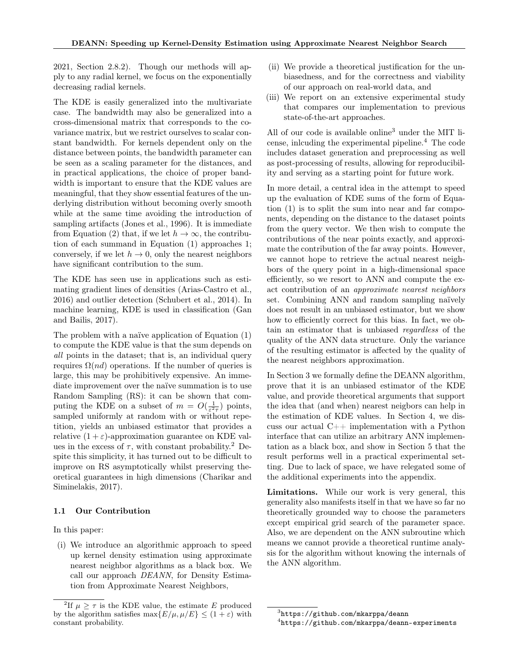[2021,](#page-12-1) Section 2.8.2). Though our methods will apply to any radial kernel, we focus on the exponentially decreasing radial kernels.

The KDE is easily generalized into the multivariate case. The bandwidth may also be generalized into a cross-dimensional matrix that corresponds to the covariance matrix, but we restrict ourselves to scalar constant bandwidth. For kernels dependent only on the distance between points, the bandwidth parameter can be seen as a scaling parameter for the distances, and in practical applications, the choice of proper bandwidth is important to ensure that the KDE values are meaningful, that they show essential features of the underlying distribution without becoming overly smooth while at the same time avoiding the introduction of sampling artifacts [\(Jones et al., 1996\)](#page-11-0). It is immediate from Equation [\(2\)](#page-0-1) that, if we let  $h \to \infty$ , the contribution of each summand in Equation [\(1\)](#page-0-2) approaches 1; conversely, if we let  $h \to 0$ , only the nearest neighbors have significant contribution to the sum.

The KDE has seen use in applications such as estimating gradient lines of densities [\(Arias-Castro et al.,](#page-9-0) [2016\)](#page-9-0) and outlier detection [\(Schubert et al., 2014\)](#page-12-2). In machine learning, KDE is used in classification [\(Gan](#page-10-0) [and Bailis, 2017\)](#page-10-0).

The problem with a naïve application of Equation [\(1\)](#page-0-2) to compute the KDE value is that the sum depends on all points in the dataset; that is, an individual query requires  $\Omega(nd)$  operations. If the number of queries is large, this may be prohibitively expensive. An immediate improvement over the naïve summation is to use Random Sampling (RS): it can be shown that computing the KDE on a subset of  $m = O(\frac{1}{\varepsilon^2 \tau})$  points, sampled uniformly at random with or without repetition, yields an unbiased estimator that provides a relative  $(1 + \varepsilon)$ -approximation guarantee on KDE values in the excess of  $\tau$ , with constant probability.<sup>[2](#page-1-0)</sup> Despite this simplicity, it has turned out to be difficult to improve on RS asymptotically whilst preserving theoretical guarantees in high dimensions [\(Charikar and](#page-9-1) [Siminelakis, 2017\)](#page-9-1).

#### 1.1 Our Contribution

In this paper:

(i) We introduce an algorithmic approach to speed up kernel density estimation using approximate nearest neighbor algorithms as a black box. We call our approach DEANN, for Density Estimation from Approximate Nearest Neighbors,

- (ii) We provide a theoretical justification for the unbiasedness, and for the correctness and viability of our approach on real-world data, and
- (iii) We report on an extensive experimental study that compares our implementation to previous state-of-the-art approaches.

All of our code is available online<sup>[3](#page-1-1)</sup> under the MIT license, inlcuding the experimental pipeline.[4](#page-1-2) The code includes dataset generation and preprocessing as well as post-processing of results, allowing for reproducibility and serving as a starting point for future work.

In more detail, a central idea in the attempt to speed up the evaluation of KDE sums of the form of Equation [\(1\)](#page-0-2) is to split the sum into near and far components, depending on the distance to the dataset points from the query vector. We then wish to compute the contributions of the near points exactly, and approximate the contribution of the far away points. However, we cannot hope to retrieve the actual nearest neighbors of the query point in a high-dimensional space efficiently, so we resort to ANN and compute the exact contribution of an approximate nearest neighbors set. Combining ANN and random sampling naïvely does not result in an unbiased estimator, but we show how to efficiently correct for this bias. In fact, we obtain an estimator that is unbiased regardless of the quality of the ANN data structure. Only the variance of the resulting estimator is affected by the quality of the nearest neighbors approximation.

In Section [3](#page-3-0) we formally define the DEANN algorithm, prove that it is an unbiased estimator of the KDE value, and provide theoretical arguments that support the idea that (and when) nearest neigbors can help in the estimation of KDE values. In Section [4,](#page-4-0) we discuss our actual  $C++$  implementation with a Python interface that can utilize an arbitrary ANN implementation as a black box, and show in Section [5](#page-5-0) that the result performs well in a practical experimental setting. Due to lack of space, we have relegated some of the additional experiments into the appendix.

Limitations. While our work is very general, this generality also manifests itself in that we have so far no theoretically grounded way to choose the parameters except empirical grid search of the parameter space. Also, we are dependent on the ANN subroutine which means we cannot provide a theoretical runtime analysis for the algorithm without knowing the internals of the ANN algorithm.

<span id="page-1-0"></span><sup>&</sup>lt;sup>2</sup>If  $\mu \geq \tau$  is the KDE value, the estimate E produced by the algorithm satisfies  $\max\{E/\mu, \mu/E\} \leq (1+\varepsilon)$  with constant probability.

<span id="page-1-1"></span> $^3$ <https://github.com/mkarppa/deann>

<span id="page-1-2"></span><sup>4</sup> <https://github.com/mkarppa/deann-experiments>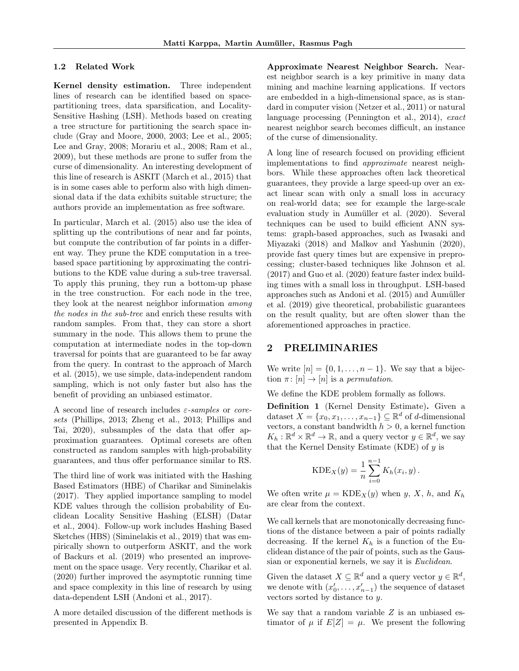#### 1.2 Related Work

Kernel density estimation. Three independent lines of research can be identified based on spacepartitioning trees, data sparsification, and Locality-Sensitive Hashing (LSH). Methods based on creating a tree structure for partitioning the search space include [\(Gray and Moore, 2000,](#page-10-1) [2003;](#page-10-2) [Lee et al., 2005;](#page-11-1) [Lee and Gray, 2008;](#page-11-2) [Morariu et al., 2008;](#page-11-3) [Ram et al.,](#page-12-3) [2009\)](#page-12-3), but these methods are prone to suffer from the curse of dimensionality. An interesting development of this line of research is ASKIT [\(March et al., 2015\)](#page-11-4) that is in some cases able to perform also with high dimensional data if the data exhibits suitable structure; the authors provide an implementation as free software.

In particular, [March et al.](#page-11-4) [\(2015\)](#page-11-4) also use the idea of splitting up the contributions of near and far points, but compute the contribution of far points in a different way. They prune the KDE computation in a treebased space partitioning by approximating the contributions to the KDE value during a sub-tree traversal. To apply this pruning, they run a bottom-up phase in the tree construction. For each node in the tree, they look at the nearest neighbor information among the nodes in the sub-tree and enrich these results with random samples. From that, they can store a short summary in the node. This allows them to prune the computation at intermediate nodes in the top-down traversal for points that are guaranteed to be far away from the query. In contrast to the approach of [March](#page-11-4) [et al.](#page-11-4) [\(2015\)](#page-11-4), we use simple, data-independent random sampling, which is not only faster but also has the benefit of providing an unbiased estimator.

A second line of research includes  $\varepsilon$ -samples or coresets [\(Phillips, 2013;](#page-12-4) [Zheng et al., 2013;](#page-12-5) [Phillips and](#page-12-6) [Tai, 2020\)](#page-12-6), subsamples of the data that offer approximation guarantees. Optimal coresets are often constructed as random samples with high-probability guarantees, and thus offer performance similar to RS.

The third line of work was initiated with the Hashing Based Estimators (HBE) of [Charikar and Siminelakis](#page-9-1) [\(2017\)](#page-9-1). They applied importance sampling to model KDE values through the collision probability of Euclidean Locality Sensitive Hashing (ELSH) [\(Datar](#page-10-3) [et al., 2004\)](#page-10-3). Follow-up work includes Hashing Based Sketches (HBS) [\(Siminelakis et al., 2019\)](#page-12-7) that was empirically shown to outperform ASKIT, and the work of [Backurs et al.](#page-9-2) [\(2019\)](#page-9-2) who presented an improvement on the space usage. Very recently, [Charikar et al.](#page-9-3) [\(2020\)](#page-9-3) further improved the asymptotic running time and space complexity in this line of research by using data-dependent LSH [\(Andoni et al., 2017\)](#page-9-4).

A more detailed discussion of the different methods is presented in Appendix [B.](#page-14-0)

Approximate Nearest Neighbor Search. Nearest neighbor search is a key primitive in many data mining and machine learning applications. If vectors are embedded in a high-dimensional space, as is standard in computer vision [\(Netzer et al., 2011\)](#page-11-5) or natural language processing [\(Pennington et al., 2014\)](#page-12-8), exact nearest neighbor search becomes difficult, an instance of the curse of dimensionality.

A long line of research focused on providing efficient implementations to find approximate nearest neighbors. While these approaches often lack theoretical guarantees, they provide a large speed-up over an exact linear scan with only a small loss in accuracy on real-world data; see for example the large-scale evaluation study in [Aumüller et al.](#page-9-5) [\(2020\)](#page-9-5). Several techniques can be used to build efficient ANN systems: graph-based approaches, such as [Iwasaki and](#page-10-4) [Miyazaki](#page-10-4) [\(2018\)](#page-10-4) and [Malkov and Yashunin](#page-11-6) [\(2020\)](#page-11-6), provide fast query times but are expensive in preprocessing; cluster-based techniques like [Johnson et al.](#page-10-5) [\(2017\)](#page-10-5) and [Guo et al.](#page-10-6) [\(2020\)](#page-10-6) feature faster index building times with a small loss in throughput. LSH-based approaches such as [Andoni et al.](#page-9-6) [\(2015\)](#page-9-6) and [Aumüller](#page-9-7) [et al.](#page-9-7) [\(2019\)](#page-9-7) give theoretical, probabilistic guarantees on the result quality, but are often slower than the aforementioned approaches in practice.

### 2 PRELIMINARIES

We write  $[n] = \{0, 1, \ldots, n-1\}$ . We say that a bijection  $\pi$ :  $[n] \rightarrow [n]$  is a permutation.

We define the KDE problem formally as follows.

Definition 1 (Kernel Density Estimate). Given a dataset  $X = \{x_0, x_1, \ldots, x_{n-1}\} \subseteq \mathbb{R}^d$  of d-dimensional vectors, a constant bandwidth  $h > 0$ , a kernel function  $K_h: \mathbb{R}^d \times \mathbb{R}^d \to \mathbb{R}$ , and a query vector  $y \in \mathbb{R}^d$ , we say that the Kernel Density Estimate (KDE) of  $y$  is

$$
KDE_X(y) = \frac{1}{n} \sum_{i=0}^{n-1} K_h(x_i, y).
$$

We often write  $\mu = \text{KDE}_X(y)$  when y, X, h, and  $K_h$ are clear from the context.

We call kernels that are monotonically decreasing functions of the distance between a pair of points radially decreasing. If the kernel  $K_h$  is a function of the Euclidean distance of the pair of points, such as the Gaussian or exponential kernels, we say it is *Euclidean*.

Given the dataset  $X \subseteq \mathbb{R}^d$  and a query vector  $y \in \mathbb{R}^d$ , we denote with  $(x'_0, \ldots, x'_{n-1})$  the sequence of dataset vectors sorted by distance to y.

We say that a random variable  $Z$  is an unbiased estimator of  $\mu$  if  $E[Z] = \mu$ . We present the following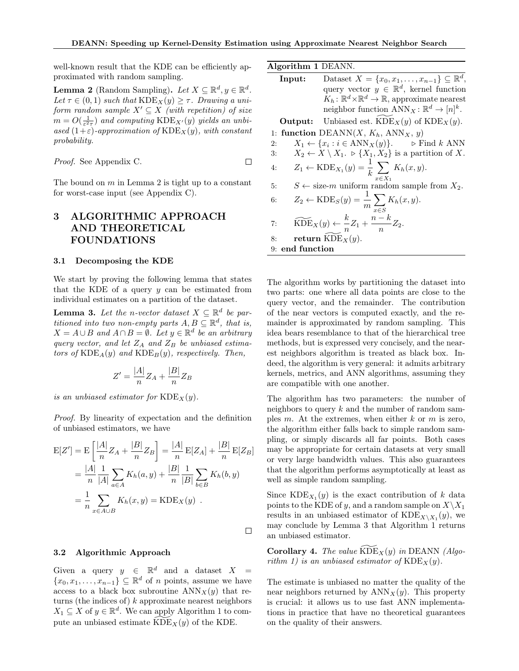well-known result that the KDE can be efficiently approximated with random sampling.

<span id="page-3-1"></span>**Lemma 2** (Random Sampling). Let  $X \subseteq \mathbb{R}^d, y \in \mathbb{R}^d$ . Let  $\tau \in (0,1)$  such that  $\text{KDE}_X(y) \geq \tau$ . Drawing a uniform random sample  $X' \subseteq X$  (with repetition) of size  $m = O(\frac{1}{\varepsilon^2 \tau})$  and computing  $\text{KDE}_{X'}(y)$  yields an unbiased  $(1+\varepsilon)$ -approximation of  $\text{KDE}_X(y)$ , with constant probability.

Proof. See Appendix [C.](#page-15-0)  $\Box$ 

The bound on  $m$  in Lemma [2](#page-3-1) is tight up to a constant for worst-case input (see Appendix [C\)](#page-15-0).

# <span id="page-3-0"></span>3 ALGORITHMIC APPROACH AND THEORETICAL FOUNDATIONS

#### 3.1 Decomposing the KDE

We start by proving the following lemma that states that the KDE of a query  $y$  can be estimated from individual estimates on a partition of the dataset.

<span id="page-3-3"></span>**Lemma 3.** Let the n-vector dataset  $X \subseteq \mathbb{R}^d$  be partitioned into two non-empty parts  $A, B \subseteq \mathbb{R}^d$ , that is,  $X = A \cup B$  and  $A \cap B = \emptyset$ . Let  $y \in \mathbb{R}^d$  be an arbitrary query vector, and let  $Z_A$  and  $Z_B$  be unbiased estimators of  $\text{KDE}_A(y)$  and  $\text{KDE}_B(y)$ , respectively. Then,

$$
Z' = \frac{|A|}{n}Z_A + \frac{|B|}{n}Z_B
$$

is an unbiased estimator for  $\text{KDE}_X(y)$ .

Proof. By linearity of expectation and the definition of unbiased estimators, we have

$$
E[Z'] = E\left[\frac{|A|}{n}Z_A + \frac{|B|}{n}Z_B\right] = \frac{|A|}{n}E[Z_A] + \frac{|B|}{n}E[Z_B]
$$
  
= 
$$
\frac{|A|}{n} \frac{1}{|A|} \sum_{a \in A} K_h(a, y) + \frac{|B|}{n} \frac{1}{|B|} \sum_{b \in B} K_h(b, y)
$$
  
= 
$$
\frac{1}{n} \sum_{x \in A \cup B} K_h(x, y) = \text{KDE}_X(y) .
$$

 $\Box$ 

#### 3.2 Algorithmic Approach

Given a query  $y \in \mathbb{R}^d$  and a dataset  $X =$  $\{x_0, x_1, \ldots, x_{n-1}\} \subseteq \mathbb{R}^d$  of *n* points, assume we have access to a black box subroutine  $\text{ANN}_X(y)$  that returns (the indices of)  $k$  approximate nearest neighbors  $X_1 \subseteq X$  of  $y \in \mathbb{R}^d$ . We can apply Algorithm [1](#page-3-2) to compute an unbiased estimate  $\widehat{\mathrm{KDE}}_X(y)$  of the KDE.

<span id="page-3-2"></span>

| Algorithm 1 DEANN. |                                                                                      |
|--------------------|--------------------------------------------------------------------------------------|
| Input:             | Dataset $X = \{x_0, x_1, \ldots, x_{n-1}\} \subseteq \mathbb{R}^d$ ,                 |
|                    | query vector $y \in \mathbb{R}^d$ , kernel function                                  |
|                    | $K_h: \mathbb{R}^d \times \mathbb{R}^d \to \mathbb{R}$ , approximate nearest         |
|                    | neighbor function $ANN_X : \mathbb{R}^d \to [n]^k$ .                                 |
|                    | <b>Output:</b> Unbiased est. $KDE_X(y)$ of $KDE_X(y)$ .                              |
|                    | 1: function DEANN(X, $K_h$ , ANN <sub>X</sub> , y)                                   |
| 2:                 | $X_1 \leftarrow \{x_i : i \in \text{ANN}_X(y)\}\text{.}$ $\triangleright$ Find k ANN |
| 3:                 | $X_2 \leftarrow X \setminus X_1$ . $\rhd \{X_1, X_2\}$ is a partition of X.          |
| 4:                 | $Z_1 \leftarrow \text{KDE}_{X_1}(y) = \frac{1}{k} \sum K_h(x, y).$<br>$x \in X_1$    |
| 5:                 | $S \leftarrow$ size-m uniform random sample from $X_2$ .                             |
| 6:                 | $Z_2 \leftarrow \text{KDE}_S(y) = \frac{1}{m} \sum_{x \in S} K_h(x, y).$             |
| 7:                 | $\widetilde{\mathrm{KDE}}_X(y) \leftarrow \frac{k}{n} Z_1 + \frac{n-k}{n} Z_2.$      |
| 8:                 | return $KDE_X(y)$ .                                                                  |
| end function<br>9: |                                                                                      |
|                    |                                                                                      |

The algorithm works by partitioning the dataset into two parts: one where all data points are close to the query vector, and the remainder. The contribution of the near vectors is computed exactly, and the remainder is approximated by random sampling. This idea bears resemblance to that of the hierarchical tree methods, but is expressed very concisely, and the nearest neighbors algorithm is treated as black box. Indeed, the algorithm is very general: it admits arbitrary kernels, metrics, and ANN algorithms, assuming they are compatible with one another.

The algorithm has two parameters: the number of neighbors to query  $k$  and the number of random samples  $m$ . At the extremes, when either  $k$  or  $m$  is zero, the algorithm either falls back to simple random sampling, or simply discards all far points. Both cases may be appropriate for certain datasets at very small or very large bandwidth values. This also guarantees that the algorithm performs asymptotically at least as well as simple random sampling.

Since  $KDE_{X_1}(y)$  is the exact contribution of k data points to the KDE of y, and a random sample on  $X\backslash X_1$ results in an unbiased estimator of  $\text{KDE}_{X \setminus X_1}(y)$ , we may conclude by Lemma [3](#page-3-3) that Algorithm [1](#page-3-2) returns an unbiased estimator.

Corollary 4. The value  $\widehat{KDE}_X(y)$  in DEANN (Algo-rithm [1\)](#page-3-2) is an unbiased estimator of  $\text{KDE}_X(y)$ .

The estimate is unbiased no matter the quality of the near neighbors returned by  $ANN_X(y)$ . This property is crucial: it allows us to use fast ANN implementations in practice that have no theoretical guarantees on the quality of their answers.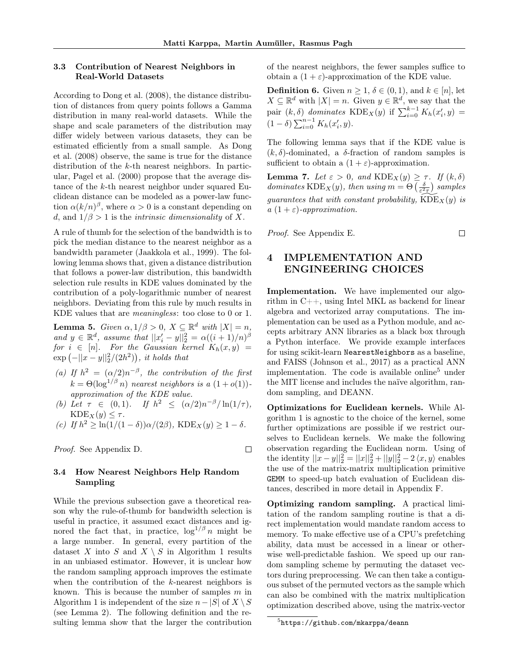#### 3.3 Contribution of Nearest Neighbors in Real-World Datasets

According to [Dong et al.](#page-10-7) [\(2008\)](#page-10-7), the distance distribution of distances from query points follows a Gamma distribution in many real-world datasets. While the shape and scale parameters of the distribution may differ widely between various datasets, they can be estimated efficiently from a small sample. As [Dong](#page-10-7) [et al.](#page-10-7) [\(2008\)](#page-10-7) observe, the same is true for the distance distribution of the k-th nearest neighbors. In particular, [Pagel et al.](#page-11-7) [\(2000\)](#page-11-7) propose that the average distance of the k-th nearest neighbor under squared Euclidean distance can be modeled as a power-law function  $\alpha (k/n)^{\beta}$ , where  $\alpha > 0$  is a constant depending on d, and  $1/\beta > 1$  is the *intrinsic dimensionality* of X.

A rule of thumb for the selection of the bandwidth is to pick the median distance to the nearest neighbor as a bandwidth parameter [\(Jaakkola et al., 1999\)](#page-10-8). The following lemma shows that, given a distance distribution that follows a power-law distribution, this bandwidth selection rule results in KDE values dominated by the contribution of a poly-logarithmic number of nearest neighbors. Deviating from this rule by much results in KDE values that are meaningless: too close to 0 or 1.

<span id="page-4-2"></span>**Lemma 5.** Given  $\alpha, 1/\beta > 0$ ,  $X \subseteq \mathbb{R}^d$  with  $|X| = n$ , and  $y \in \mathbb{R}^d$ , assume that  $||x'_i - y||_2^2 = \alpha((i+1)/n)^{\beta}$  $for i \in [n].$  For the Gaussian kernel  $K_h(x, y) =$  $\exp\left(-||x-y||_2^2/(2h^2)\right)$ , it holds that

- (a) If  $h^2 = (\alpha/2)n^{-\beta}$ , the contribution of the first  $k = \Theta(\log^{1/\beta} n)$  nearest neighbors is a  $(1+o(1))$ approximation of the KDE value.
- (b) Let  $\tau \in (0,1)$ . If  $h^2 \leq (\alpha/2)n^{-\beta}/\ln(1/\tau)$ ,  $\text{KDE}_X(y) \leq \tau$ .

(c) If 
$$
h^2 \ge \ln(1/(1-\delta))\alpha/(2\beta)
$$
,  $\text{KDE}_X(y) \ge 1-\delta$ .

Proof. See Appendix [D.](#page-16-0)

 $\Box$ 

#### 3.4 How Nearest Neighbors Help Random Sampling

While the previous subsection gave a theoretical reason why the rule-of-thumb for bandwidth selection is useful in practice, it assumed exact distances and ignored the fact that, in practice,  $\log^{1/\beta} n$  might be a large number. In general, every partition of the dataset X into S and  $X \setminus S$  in Algorithm [1](#page-3-2) results in an unbiased estimator. However, it is unclear how the random sampling approach improves the estimate when the contribution of the  $k$ -nearest neighbors is known. This is because the number of samples  $m$  in Algorithm [1](#page-3-2) is independent of the size  $n-|S|$  of  $X \setminus S$ (see Lemma [2\)](#page-3-1). The following definition and the resulting lemma show that the larger the contribution of the nearest neighbors, the fewer samples suffice to obtain a  $(1 + \varepsilon)$ -approximation of the KDE value.

**Definition 6.** Given  $n \geq 1$ ,  $\delta \in (0,1)$ , and  $k \in [n]$ , let  $X \subseteq \mathbb{R}^d$  with  $|X| = n$ . Given  $y \in \mathbb{R}^d$ , we say that the pair  $(k, \delta)$  dominates KDE<sub>X</sub>(y) if  $\sum_{i=0}^{k-1} K_h(x'_i, y)$  =  $(1 - \delta) \sum_{i=0}^{n-1} K_h(x'_i, y).$ 

The following lemma says that if the KDE value is  $(k, \delta)$ -dominated, a  $\delta$ -fraction of random samples is sufficient to obtain a  $(1 + \varepsilon)$ -approximation.

<span id="page-4-3"></span>Lemma 7. Let  $\varepsilon > 0$ , and  $KDE_X(y) \geq \tau$ . If  $(k, \delta)$ dominates  $\text{KDE}_X(y)$ , then using  $m = \Theta\left(\frac{\delta}{\varepsilon^2 \tau}\right)$  samples guarantees that with constant probability,  $\text{KDE}_X(y)$  is a  $(1+\varepsilon)$ -approximation.

Proof. See Appendix [E.](#page-17-0)

#### $\Box$

# <span id="page-4-0"></span>4 IMPLEMENTATION AND ENGINEERING CHOICES

Implementation. We have implemented our algorithm in C++, using Intel MKL as backend for linear algebra and vectorized array computations. The implementation can be used as a Python module, and accepts arbitrary ANN libraries as a black box through a Python interface. We provide example interfaces for using scikit-learn NearestNeighbors as a baseline, and FAISS [\(Johnson et al., 2017\)](#page-10-5) as a practical ANN implementation. The code is available online<sup>[5](#page-4-1)</sup> under the MIT license and includes the naïve algorithm, random sampling, and DEANN.

Optimizations for Euclidean kernels. While Algorithm [1](#page-3-2) is agnostic to the choice of the kernel, some further optimizations are possible if we restrict ourselves to Euclidean kernels. We make the following observation regarding the Euclidean norm. Using of the identity  $||x - y||_2^2 = ||x||_2^2 + ||y||_2^2 - 2 \langle x, y \rangle$  enables the use of the matrix-matrix multiplication primitive GEMM to speed-up batch evaluation of Euclidean distances, described in more detail in Appendix [F.](#page-17-1)

Optimizing random sampling. A practical limitation of the random sampling routine is that a direct implementation would mandate random access to memory. To make effective use of a CPU's prefetching ability, data must be accessed in a linear or otherwise well-predictable fashion. We speed up our random sampling scheme by permuting the dataset vectors during preprocessing. We can then take a contiguous subset of the permuted vectors as the sample which can also be combined with the matrix multiplication optimization described above, using the matrix-vector

<span id="page-4-1"></span> $^{5}$ <https://github.com/mkarppa/deann>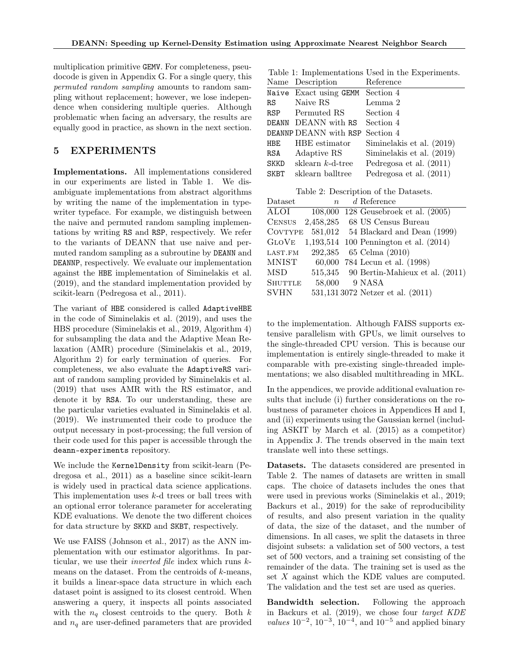multiplication primitive GEMV. For completeness, pseudocode is given in Appendix [G.](#page-18-0) For a single query, this permuted random sampling amounts to random sampling without replacement; however, we lose independence when considering multiple queries. Although problematic when facing an adversary, the results are equally good in practice, as shown in the next section.

## <span id="page-5-0"></span>5 EXPERIMENTS

Implementations. All implementations considered in our experiments are listed in Table [1.](#page-5-1) We disambiguate implementations from abstract algorithms by writing the name of the implementation in typewriter typeface. For example, we distinguish between the naive and permuted random sampling implementations by writing RS and RSP, respectively. We refer to the variants of DEANN that use naive and permuted random sampling as a subroutine by DEANN and DEANNP, respectively. We evaluate our implementation against the HBE implementation of [Siminelakis et al.](#page-12-7) [\(2019\)](#page-12-7), and the standard implementation provided by scikit-learn [\(Pedregosa et al., 2011\)](#page-12-9).

The variant of HBE considered is called AdaptiveHBE in the code of [Siminelakis et al.](#page-12-7) [\(2019\)](#page-12-7), and uses the HBS procedure [\(Siminelakis et al., 2019,](#page-12-7) Algorithm 4) for subsampling the data and the Adaptive Mean Relaxation (AMR) procedure [\(Siminelakis et al., 2019,](#page-12-7) Algorithm 2) for early termination of queries. For completeness, we also evaluate the AdaptiveRS variant of random sampling provided by [Siminelakis et al.](#page-12-7) [\(2019\)](#page-12-7) that uses AMR with the RS estimator, and denote it by RSA. To our understanding, these are the particular varieties evaluated in [Siminelakis et al.](#page-12-7) [\(2019\)](#page-12-7). We instrumented their code to produce the output necessary in post-processing; the full version of their code used for this paper is accessible through the deann-experiments repository.

We include the KernelDensity from scikit-learn [\(Pe](#page-12-9)[dregosa et al., 2011\)](#page-12-9) as a baseline since scikit-learn is widely used in practical data science applications. This implementation uses k-d trees or ball trees with an optional error tolerance parameter for accelerating KDE evaluations. We denote the two different choices for data structure by SKKD and SKBT, respectively.

We use FAISS [\(Johnson et al., 2017\)](#page-10-5) as the ANN implementation with our estimator algorithms. In particular, we use their inverted file index which runs kmeans on the dataset. From the centroids of  $k$ -means, it builds a linear-space data structure in which each dataset point is assigned to its closest centroid. When answering a query, it inspects all points associated with the  $n_q$  closest centroids to the query. Both k and  $n_q$  are user-defined parameters that are provided

<span id="page-5-1"></span>Table 1: Implementations Used in the Experiments.

|             | Name Description                 | Reference                 |
|-------------|----------------------------------|---------------------------|
|             | Naive Exact using GEMM Section 4 |                           |
| RS          | Naive RS                         | Lemma 2                   |
|             | RSP Permuted RS                  | Section 4                 |
|             | DEANN DEANN with RS              | Section 4                 |
|             | DEANNP DEANN with RSP Section 4  |                           |
| HBE         | HBE estimator                    | Siminelakis et al. (2019) |
| RSA         | Adaptive RS                      | Siminelakis et al. (2019) |
| <b>SKKD</b> | sklearn $k$ -d-tree              | Pedregosa et al. $(2011)$ |
| <b>SKBT</b> | sklearn balltree                 | Pedregosa et al. $(2011)$ |

<span id="page-5-2"></span>Table 2: Description of the Datasets.

| Dataset        | $\boldsymbol{n}$ | $d$ Reference                           |
|----------------|------------------|-----------------------------------------|
| <b>ALOI</b>    | 108,000          | 128 Geusebroek et al. $(2005)$          |
| <b>CENSUS</b>  | 2,458,285        | 68 US Census Bureau                     |
| <b>COVTYPE</b> | 581,012          | 54 Blackard and Dean (1999)             |
| <b>GLOVE</b>   |                  | 1,193,514 100 Pennington et al. (2014)  |
| LAST.FM        | 292,385          | 65 Celma (2010)                         |
| <b>MNIST</b>   |                  | 60,000 784 Lecun et al. (1998)          |
| MSD            |                  | 515,345 90 Bertin-Mahieux et al. (2011) |
| <b>SHUTTLE</b> | 58,000           | 9 NASA                                  |
| <b>SVHN</b>    |                  | 531,1313072 Netzer et al. (2011)        |

to the implementation. Although FAISS supports extensive parallelism with GPUs, we limit ourselves to the single-threaded CPU version. This is because our implementation is entirely single-threaded to make it comparable with pre-existing single-threaded implementations; we also disabled multithreading in MKL.

In the appendices, we provide additional evaluation results that include (i) further considerations on the robustness of parameter choices in Appendices [H](#page-19-0) and [I,](#page-20-0) and (ii) experiments using the Gaussian kernel (including ASKIT by [March et al.](#page-11-4) [\(2015\)](#page-11-4) as a competitor) in Appendix [J.](#page-22-0) The trends observed in the main text translate well into these settings.

Datasets. The datasets considered are presented in Table [2.](#page-5-2) The names of datasets are written in small caps. The choice of datasets includes the ones that were used in previous works [\(Siminelakis et al., 2019;](#page-12-7) [Backurs et al., 2019\)](#page-9-2) for the sake of reproducibility of results, and also present variation in the quality of data, the size of the dataset, and the number of dimensions. In all cases, we split the datasets in three disjoint subsets: a validation set of 500 vectors, a test set of 500 vectors, and a training set consisting of the remainder of the data. The training set is used as the set X against which the KDE values are computed. The validation and the test set are used as queries.

Bandwidth selection. Following the approach in [Backurs et al.](#page-9-2) [\(2019\)](#page-9-2), we chose four target KDE values  $10^{-2}$ ,  $10^{-3}$ ,  $10^{-4}$ , and  $10^{-5}$  and applied binary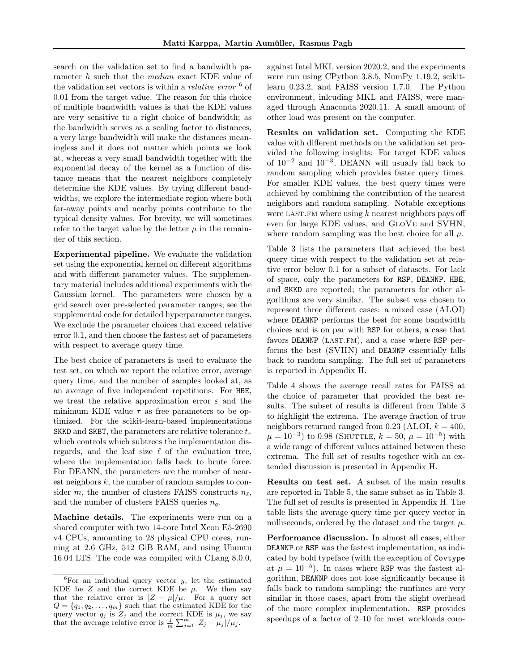search on the validation set to find a bandwidth parameter h such that the median exact KDE value of the validation set vectors is within a *relative error*  $\mathfrak{G}$  of 0.01 from the target value. The reason for this choice of multiple bandwidth values is that the KDE values are very sensitive to a right choice of bandwidth; as the bandwidth serves as a scaling factor to distances, a very large bandwidth will make the distances meaningless and it does not matter which points we look at, whereas a very small bandwidth together with the exponential decay of the kernel as a function of distance means that the nearest neighbors completely determine the KDE values. By trying different bandwidths, we explore the intermediate region where both far-away points and nearby points contribute to the typical density values. For brevity, we will sometimes refer to the target value by the letter  $\mu$  in the remainder of this section.

Experimental pipeline. We evaluate the validation set using the exponential kernel on different algorithms and with different parameter values. The supplementary material includes additional experiments with the Gaussian kernel. The parameters were chosen by a grid search over pre-selected parameter ranges; see the supplemental code for detailed hyperparameter ranges. We exclude the parameter choices that exceed relative error 0.1, and then choose the fastest set of parameters with respect to average query time.

The best choice of parameters is used to evaluate the test set, on which we report the relative error, average query time, and the number of samples looked at, as an average of five independent repetitions. For HBE, we treat the relative approximation error  $\varepsilon$  and the minimum KDE value  $\tau$  as free parameters to be optimized. For the scikit-learn-based implementations SKKD and SKBT, the parameters are relative tolerance  $t_r$ which controls which subtrees the implementation disregards, and the leaf size  $\ell$  of the evaluation tree, where the implementation falls back to brute force. For DEANN, the parameters are the number of nearest neighbors  $k$ , the number of random samples to consider m, the number of clusters FAISS constructs  $n_{\ell}$ , and the number of clusters FAISS queries  $n_q$ .

Machine details. The experiments were run on a shared computer with two 14-core Intel Xeon E5-2690 v4 CPUs, amounting to 28 physical CPU cores, running at 2.6 GHz, 512 GiB RAM, and using Ubuntu 16.04 LTS. The code was compiled with CLang 8.0.0, against Intel MKL version 2020.2, and the experiments were run using CPython 3.8.5, NumPy 1.19.2, scikitlearn 0.23.2, and FAISS version 1.7.0. The Python environment, inlcuding MKL and FAISS, were managed through Anaconda 2020.11. A small amount of other load was present on the computer.

Results on validation set. Computing the KDE value with different methods on the validation set provided the following insights: For target KDE values of 10−<sup>2</sup> and 10−<sup>3</sup> , DEANN will usually fall back to random sampling which provides faster query times. For smaller KDE values, the best query times were achieved by combining the contribution of the nearest neighbors and random sampling. Notable exceptions were LAST.FM where using  $k$  nearest neighbors pays off even for large KDE values, and GloVe and SVHN, where random sampling was the best choice for all  $\mu$ .

Table [3](#page-7-0) lists the parameters that achieved the best query time with respect to the validation set at relative error below 0.1 for a subset of datasets. For lack of space, only the parameters for RSP, DEANNP, HBE, and SKKD are reported; the parameters for other algorithms are very similar. The subset was chosen to represent three different cases: a mixed case (ALOI) where DEANNP performs the best for some bandwidth choices and is on par with RSP for others, a case that favors DEANNP (LAST.FM), and a case where RSP performs the best (SVHN) and DEANNP essentially falls back to random sampling. The full set of parameters is reported in Appendix [H.](#page-19-0)

Table [4](#page-7-1) shows the average recall rates for FAISS at the choice of parameter that provided the best results. The subset of results is different from Table [3](#page-7-0) to highlight the extrema. The average fraction of true neighbors returned ranged from 0.23 (ALOI,  $k = 400$ ,  $\mu = 10^{-3}$ ) to 0.98 (SHUTTLE,  $k = 50$ ,  $\mu = 10^{-5}$ ) with a wide range of different values attained between these extrema. The full set of results together with an extended discussion is presented in Appendix [H.](#page-19-0)

Results on test set. A subset of the main results are reported in Table [5,](#page-7-2) the same subset as in Table [3.](#page-7-0) The full set of results is presented in Appendix [H.](#page-19-0) The table lists the average query time per query vector in milliseconds, ordered by the dataset and the target  $\mu$ .

Performance discussion. In almost all cases, either DEANNP or RSP was the fastest implementation, as indicated by bold typeface (with the exception of Covtype at  $\mu = 10^{-5}$ ). In cases where RSP was the fastest algorithm, DEANNP does not lose significantly because it falls back to random sampling; the runtimes are very similar in those cases, apart from the slight overhead of the more complex implementation. RSP provides speedups of a factor of 2–10 for most workloads com-

<span id="page-6-0"></span> ${}^{6}$ For an individual query vector y, let the estimated KDE be  $Z$  and the correct KDE be  $\mu$ . We then say that the relative error is  $|Z - \mu|/\mu$ . For a query set  $Q = \{q_1, q_2, \ldots, q_m\}$  such that the estimated KDE for the query vector  $q_j$  is  $Z_j$  and the correct KDE is  $\mu_j$ , we say that the average relative error is  $\frac{1}{m} \sum_{j=1}^{m} |Z_j - \mu_j| / \mu_j$ .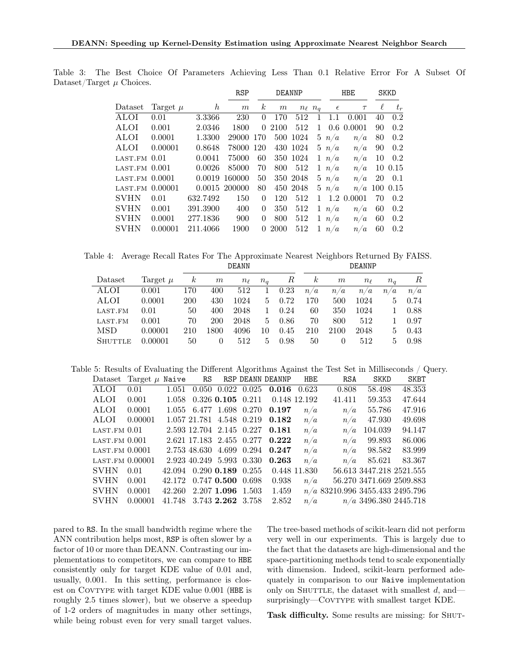<span id="page-7-0"></span>

|                              |              |                  | <b>RSP</b>       | <b>DEANNP</b>    |      |          |                  |              | <b>HBE</b> | <b>SKKD</b> |                |
|------------------------------|--------------|------------------|------------------|------------------|------|----------|------------------|--------------|------------|-------------|----------------|
| Dataset                      | Target $\mu$ | $\boldsymbol{h}$ | $\boldsymbol{m}$ | $\boldsymbol{k}$ | m    |          | $n_{\ell}$ $n_q$ | $\epsilon$   | $\tau$     | $\ell$      | $t_r$          |
| <b>ALOI</b>                  | 0.01         | 3.3366           | <b>230</b>       | 0                | 170  | 512      | 1                | 1.1          | 0.001      | 40          | 0.2            |
| ALOI                         | 0.001        | 2.0346           | 1800             | $\Omega$         | 2100 | 512      | $\mathbf{1}$     |              | 0.6 0.0001 | 90          | 0.2            |
| ALOI                         | 0.0001       | 1.3300           | 29000            | 170              |      | 500 1024 |                  | $5 \; n/a$   | n/a        | 80          | 0.2            |
| ALOI                         | 0.00001      | 0.8648           | 78000 120        |                  |      | 430 1024 |                  | $5 \; n/a$   | n/a        | 90          | 0.2            |
| $\text{LAST.FM}$ $0.01$      |              | 0.0041           | 75000            | 60               |      | 350 1024 |                  | $1 \;\; n/a$ | n/a        | 10          | 0.2            |
| $LAST.FM$ $0.001$            |              | 0.0026           | 85000            | 70               | 800  | 512      |                  | $1 \; n/a$   | n/a        |             | 10 0.15        |
| $LAST.FM$ $0.0001$           |              | 0.0019           | 160000           | 50               |      | 350 2048 |                  | $5 \; n/a$   | n/a        | 20          | 0.1            |
| LAST.FM 0.00001              |              |                  | 0.0015 200000    | 80               |      | 450 2048 |                  | 5 n/a        |            |             | $n/a$ 100 0.15 |
| $\mathop{\rm SVHN}\nolimits$ | 0.01         | 632.7492         | 150              | $\Omega$         | 120  | 512      | $\mathbf{1}$     |              | 1.2 0.0001 | 70          | $0.2\,$        |
| SVHN                         | 0.001        | 391.3900         | 400              | 0                | 350  | 512      |                  | $1 \; n/a$   | n/a        | 60          | 0.2            |
| SVHN                         | 0.0001       | 277.1836         | 900              | 0                | 800  | 512      |                  | $1 \; n/a$   | n/a        | 60          | 0.2            |
| $_{\rm SVHN}$                | 0.00001      | 211.4066         | 1900             | 0                | 2000 | 512      | $\mathbf{1}$     | n/a          | n/a        | 60          | $0.2\,$        |
|                              |              |                  |                  |                  |      |          |                  |              |            |             |                |

Table 3: The Best Choice Of Parameters Achieving Less Than 0.1 Relative Error For A Subset Of Dataset/Target  $\mu$  Choices.

Table 4: Average Recall Rates For The Approximate Nearest Neighbors Returned By FAISS. DEANN DEANNP

<span id="page-7-1"></span>

| Dataset        | Target $\mu$ | $\kappa$ | m                | $n_{\ell}$ | $n_a$        | R    | $\boldsymbol{k}$ | m        | $n_{\ell}$ | $n_a$ | $R_{\parallel}$ |
|----------------|--------------|----------|------------------|------------|--------------|------|------------------|----------|------------|-------|-----------------|
| ALOI           | 0.001        | 170      | 400              | 512        | $\mathbf{1}$ | 0.23 | n/a              | n/a      | n/a        | n/a   | n/a             |
| ALOI           | 0.0001       | 200      | 430              | 1024       | 5.           | 0.72 | 170              | 500      | 1024       | 5     | 0.74            |
| LAST.FM        | 0.01         | 50       | 400              | 2048       | $\mathbf{1}$ | 0.24 | 60               | 350      | 1024       | 1.    | 0.88            |
| LAST.FM        | 0.001        | 70       | 200              | 2048       | $5 -$        | 0.86 | 70               | 800      | 512        | 1.    | 0.97            |
| <b>MSD</b>     | 0.00001      | 210      | 1800             | 4096       | 10           | 0.45 | 210              | 2100     | 2048       |       | $5 \t 0.43$     |
| <b>SHUTTLE</b> | 0.00001      | 50       | $\left( \right)$ | 512        | 5.           | 0.98 | 50               | $\theta$ | 512        | 5.    | 0.98            |

Table 5: Results of Evaluating the Different Algorithms Against the Test Set in Milliseconds / Query.

<span id="page-7-2"></span>

| Dataset          | Target $\mu$ Naive |        | RS                              |                         | RSP DEANN DEANNP | <b>HBE</b>   | <b>RSA</b>                        | <b>SKKD</b>              | <b>SKBT</b> |
|------------------|--------------------|--------|---------------------------------|-------------------------|------------------|--------------|-----------------------------------|--------------------------|-------------|
| <b>ALOI</b>      | 0.01               | 1.051  |                                 | $0.050$ $0.022$ $0.025$ | 0.016            | 0.623        | 0.808                             | 58.498                   | 48.353      |
| ALOI             | 0.001              | 1.058  |                                 | $0.326$ $0.105$ $0.211$ |                  | 0.148 12.192 | 41.411                            | 59.353                   | 47.644      |
| ALOI             | 0.0001             |        | 1.055 6.477 1.698 0.270         |                         | 0.197            | n/a          | n/a                               | 55.786                   | 47.916      |
| ALOI             | 0.00001            |        | 1.057 21.781 4.548 0.219        |                         | 0.182            | n/a          | n/a                               | 47.930                   | 49.698      |
| $LAST.FM$ $0.01$ |                    |        | 2.593 12.704 2.145 0.227        |                         | 0.181            | n/a          | n/a                               | 104.039                  | 94.147      |
| $LAST.FM$ 0.001  |                    |        | 2.621 17.183 2.455 0.277        |                         | 0.222            | n/a          | n/a                               | 99.893                   | 86.006      |
| $LAST.FM$ 0.0001 |                    |        | 2.753 48.630 4.699 0.294        |                         | 0.247            | n/a          | n/a                               | 98.582                   | 83.999      |
|                  | LAST.FM 0.00001    |        | 2.923 40.249 5.993 0.330        |                         | 0.263            | n/a          | n/a                               | 85.621                   | 83.367      |
| <b>SVHN</b>      | 0.01               |        | 42.094 0.290 <b>0.189</b> 0.255 |                         |                  | 0.448 11.830 |                                   | 56.613 3447.218 2521.555 |             |
| <b>SVHN</b>      | 0.001              |        | 42.172 0.747 0.500 0.698        |                         | 0.938            | n/a          |                                   | 56.270 3471.669 2509.883 |             |
| <b>SVHN</b>      | 0.0001             | 42.260 |                                 | 2.207 1.096 1.503       | 1.459            |              | $n/a$ 83210.996 3455.433 2495.796 |                          |             |
| <b>SVHN</b>      | 0.00001            | 41.748 |                                 | 3.743 2.262 3.758       | 2.852            | n/a          |                                   | $n/a$ 3496.380 2445.718  |             |

pared to RS. In the small bandwidth regime where the ANN contribution helps most, RSP is often slower by a factor of 10 or more than DEANN. Contrasting our implementations to competitors, we can compare to HBE consistently only for target KDE value of 0.01 and, usually, 0.001. In this setting, performance is closest on COVTYPE with target KDE value 0.001 (HBE is roughly 2.5 times slower), but we observe a speedup of 1-2 orders of magnitudes in many other settings, while being robust even for very small target values.

The tree-based methods of scikit-learn did not perform very well in our experiments. This is largely due to the fact that the datasets are high-dimensional and the space-partitioning methods tend to scale exponentially with dimension. Indeed, scikit-learn performed adequately in comparison to our Naive implementation only on SHUTTLE, the dataset with smallest  $d$ , andsurprisingly—COVTYPE with smallest target KDE.

Task difficulty. Some results are missing: for SHUT-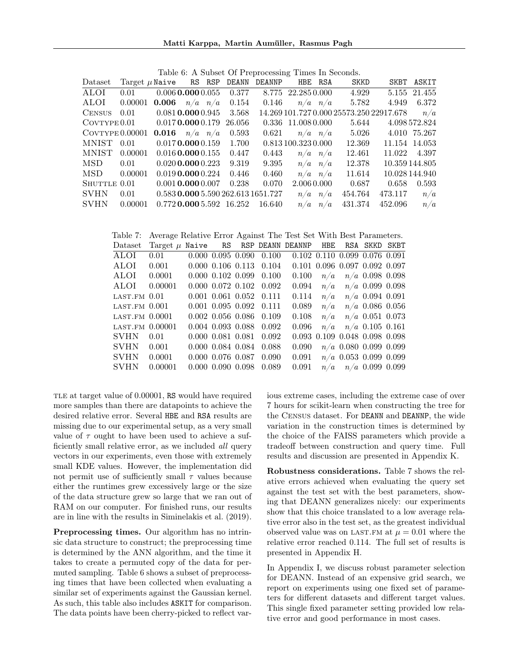<span id="page-8-0"></span>Table 6: A Subset Of Preprocessing Times In Seconds.

| Dataset                                            |                                       |                              |                                    | Target $\mu$ Naive RS RSP DEANN DEANNP HBE RSA |                     |             | SKKD                                     |         | SKBT ASKIT     |
|----------------------------------------------------|---------------------------------------|------------------------------|------------------------------------|------------------------------------------------|---------------------|-------------|------------------------------------------|---------|----------------|
| ALOI                                               | 0.01                                  |                              | $0.006$ $0.000$ $0.055$ $0.377$    |                                                | 8.775 22.285 0.000  |             | 4.929                                    |         | 5.155 21.455   |
| ALOI                                               | $0.00001$ $0.006$ $n/a$ $n/a$ $0.154$ |                              |                                    | $0.146\,$                                      | $n/a$ $n/a$         |             | 5.782                                    |         | 4.949 6.372    |
| CENSUS $0.01$ $0.081$ <b>0.000</b> $0.945$ $3.568$ |                                       |                              |                                    |                                                |                     |             | 14.269 101.727 0.000 25573.250 22917.678 |         | n/a            |
| $CovType 0.01$ $0.017$ <b>0.000</b> 0.179 26.056   |                                       |                              |                                    |                                                | 0.336 11.008 0.000  |             | 5.644                                    |         | 4.098 572.824  |
| $Cov$ Type $0.00001$                               |                                       | <b>0.016</b> $n/a$ $n/a$     | 0.593                              |                                                |                     |             | $0.621$ $n/a$ $n/a$ 5.026                |         | 4.010 75.267   |
| MNIST 0.01                                         |                                       |                              | $0.017$ <b>0.000</b> $0.159$ 1.700 |                                                | 0.813 100.323 0.000 |             | 12.369                                   |         | 11.154 14.053  |
| MNIST                                              | 0.00001                               | $0.016$ 0.000 $0.155$        | 0.447                              | 0.443                                          | $n/a$ $n/a$         |             | 12.461                                   |         | 11.022 4.397   |
| $\text{MSD} \qquad 0.01$                           |                                       | $0.020$ <b>0.000</b> $0.223$ | 9.319                              | 9.395                                          | $n/a$ $n/a$         |             | 12.378                                   |         | 10.359 144.805 |
| MSD.                                               | 0.00001                               | $0.019$ 0.000 $0.224$        | 0.446                              | 0.460                                          |                     | $n/a$ $n/a$ | 11.614                                   |         | 10.028 144.940 |
| SHUTTLE 0.01                                       |                                       | $0.001$ 0.000 $0.007$        | 0.238                              | 0.070                                          | 2.006 0.000         |             | 0.687                                    | 0.658   | 0.593          |
| <b>SVHN</b>                                        | 0.01                                  |                              |                                    | 0.583 0.000 5.590 262.613 1651.727             |                     | $n/a$ $n/a$ | 454.764                                  | 473.117 | n/a            |
| <b>SVHN</b>                                        | 0.00001                               |                              | $0.772$ 0.000 5.592 16.252         | 16.640                                         |                     | $n/a$ $n/a$ | 431.374                                  | 452.096 | n/a            |
|                                                    |                                       |                              |                                    |                                                |                     |             |                                          |         |                |

<span id="page-8-1"></span>

| Table 7:         | Average Relative Error Against The Test Set With Best Parameters. |                         |  |                                 |                               |     |                                         |  |
|------------------|-------------------------------------------------------------------|-------------------------|--|---------------------------------|-------------------------------|-----|-----------------------------------------|--|
| Dataset          | Target $\mu$ Naive RS RSP DEANN DEANNP HBE                        |                         |  |                                 |                               |     | RSA SKKD SKBT                           |  |
| <b>ALOI</b>      | 0.01                                                              |                         |  | $0.000\ 0.095\ 0.090\ 0.100$    | 0.102 0.110 0.099 0.076 0.091 |     |                                         |  |
| ALOI             | 0.001                                                             |                         |  | $0.000$ $0.106$ $0.113$ $0.104$ |                               |     | $0.101$ $0.096$ $0.097$ $0.092$ $0.097$ |  |
| ALOI             | 0.0001                                                            | $0.000$ $0.102$ $0.099$ |  | 0.100                           | 0.100                         | n/a | $n/a$ 0.098 0.098                       |  |
| ALOI             | 0.00001                                                           |                         |  | $0.000$ $0.072$ $0.102$ $0.092$ | 0.094                         | n/a | $n/a$ 0.099 0.098                       |  |
| $LAST.FM$ 0.01   |                                                                   | $0.001$ $0.061$ $0.052$ |  | 0.111                           | 0.114                         |     | $n/a$ $n/a$ 0.094 0.091                 |  |
| $LAST.FM$ 0.001  |                                                                   | $0.001$ $0.095$ $0.092$ |  | 0.111                           | 0.089                         |     | $n/a$ $n/a$ 0.086 0.056                 |  |
| $LAST.FM$ 0.0001 |                                                                   | $0.002$ 0.056 0.086     |  | 0.109                           | 0.108                         |     | $n/a$ $n/a$ 0.051 0.073                 |  |
| LAST.FM 0.00001  |                                                                   | $0.004$ 0.093 0.088     |  | 0.092                           | 0.096                         |     | $n/a$ $n/a$ 0.105 0.161                 |  |
| <b>SVHN</b>      | 0.01                                                              | $0.000$ $0.081$ $0.081$ |  | 0.092                           |                               |     | 0.093 0.109 0.048 0.098 0.098           |  |
| <b>SVHN</b>      | 0.001                                                             | 0.000 0.084 0.084       |  | 0.088                           | 0.090                         |     | $n/a$ 0.080 0.099 0.099                 |  |
| <b>SVHN</b>      | 0.0001                                                            | 0.000 0.076 0.087       |  | 0.090                           | 0.091                         |     | $n/a$ 0.053 0.099 0.099                 |  |
| <b>SVHN</b>      | 0.00001                                                           | $0.000$ $0.090$ $0.098$ |  | 0.089                           | 0.091                         |     | $n/a$ $n/a$ 0.099 0.099                 |  |

TLE at target value of 0.00001, RS would have required more samples than there are datapoints to achieve the desired relative error. Several HBE and RSA results are missing due to our experimental setup, as a very small value of  $\tau$  ought to have been used to achieve a sufficiently small relative error, as we included all query vectors in our experiments, even those with extremely small KDE values. However, the implementation did not permit use of sufficiently small  $\tau$  values because either the runtimes grew excessively large or the size of the data structure grew so large that we ran out of RAM on our computer. For finished runs, our results are in line with the results in [Siminelakis et al.](#page-12-7) [\(2019\)](#page-12-7).

Preprocessing times. Our algorithm has no intrinsic data structure to construct; the preprocessing time is determined by the ANN algorithm, and the time it takes to create a permuted copy of the data for permuted sampling. Table [6](#page-8-0) shows a subset of preprocessing times that have been collected when evaluating a similar set of experiments against the Gaussian kernel. As such, this table also includes ASKIT for comparison. The data points have been cherry-picked to reflect various extreme cases, including the extreme case of over 7 hours for scikit-learn when constructing the tree for the Census dataset. For DEANN and DEANNP, the wide variation in the construction times is determined by the choice of the FAISS parameters which provide a tradeoff between construction and query time. Full results and discussion are presented in Appendix [K.](#page-25-0)

Robustness considerations. Table [7](#page-8-1) shows the relative errors achieved when evaluating the query set against the test set with the best parameters, showing that DEANN generalizes nicely: our experiments show that this choice translated to a low average relative error also in the test set, as the greatest individual observed value was on LAST.FM at  $\mu = 0.01$  where the relative error reached 0.114. The full set of results is presented in Appendix [H.](#page-19-0)

In Appendix [I,](#page-20-0) we discuss robust parameter selection for DEANN. Instead of an expensive grid search, we report on experiments using one fixed set of parameters for different datasets and different target values. This single fixed parameter setting provided low relative error and good performance in most cases.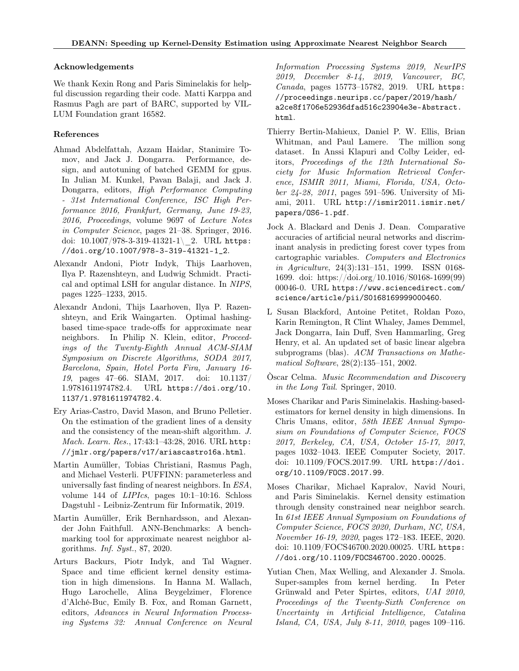#### Acknowledgements

We thank Kexin Rong and Paris Siminelakis for helpful discussion regarding their code. Matti Karppa and Rasmus Pagh are part of BARC, supported by VIL-LUM Foundation grant 16582.

## References

- <span id="page-9-12"></span>Ahmad Abdelfattah, Azzam Haidar, Stanimire Tomov, and Jack J. Dongarra. Performance, design, and autotuning of batched GEMM for gpus. In Julian M. Kunkel, Pavan Balaji, and Jack J. Dongarra, editors, High Performance Computing - 31st International Conference, ISC High Performance 2016, Frankfurt, Germany, June 19-23, 2016, Proceedings, volume 9697 of Lecture Notes in Computer Science, pages 21–38. Springer, 2016. doi:  $10.1007/978-3-319-41321-1$  2. URL [https:](https://doi.org/10.1007/978-3-319-41321-1_2) [//doi.org/10.1007/978-3-319-41321-1\\_2](https://doi.org/10.1007/978-3-319-41321-1_2).
- <span id="page-9-6"></span>Alexandr Andoni, Piotr Indyk, Thijs Laarhoven, Ilya P. Razenshteyn, and Ludwig Schmidt. Practical and optimal LSH for angular distance. In NIPS, pages 1225–1233, 2015.
- <span id="page-9-4"></span>Alexandr Andoni, Thijs Laarhoven, Ilya P. Razenshteyn, and Erik Waingarten. Optimal hashingbased time-space trade-offs for approximate near neighbors. In Philip N. Klein, editor, Proceedings of the Twenty-Eighth Annual ACM-SIAM Symposium on Discrete Algorithms, SODA 2017, Barcelona, Spain, Hotel Porta Fira, January 16- 19, pages 47–66. SIAM, 2017. doi: 10.1137/ 1.9781611974782.4. URL [https://doi.org/10.](https://doi.org/10.1137/1.9781611974782.4) [1137/1.9781611974782.4](https://doi.org/10.1137/1.9781611974782.4).
- <span id="page-9-0"></span>Ery Arias-Castro, David Mason, and Bruno Pelletier. On the estimation of the gradient lines of a density and the consistency of the mean-shift algorithm. J. Mach. Learn. Res., 17:43:1–43:28, 2016. URL [http:](http://jmlr.org/papers/v17/ariascastro16a.html) [//jmlr.org/papers/v17/ariascastro16a.html](http://jmlr.org/papers/v17/ariascastro16a.html).
- <span id="page-9-7"></span>Martin Aumüller, Tobias Christiani, Rasmus Pagh, and Michael Vesterli. PUFFINN: parameterless and universally fast finding of nearest neighbors. In ESA, volume 144 of LIPIcs, pages 10:1–10:16. Schloss Dagstuhl - Leibniz-Zentrum für Informatik, 2019.
- <span id="page-9-5"></span>Martin Aumüller, Erik Bernhardsson, and Alexander John Faithfull. ANN-Benchmarks: A benchmarking tool for approximate nearest neighbor algorithms. Inf. Syst., 87, 2020.
- <span id="page-9-2"></span>Arturs Backurs, Piotr Indyk, and Tal Wagner. Space and time efficient kernel density estimation in high dimensions. In Hanna M. Wallach, Hugo Larochelle, Alina Beygelzimer, Florence d'Alché-Buc, Emily B. Fox, and Roman Garnett, editors, Advances in Neural Information Processing Systems 32: Annual Conference on Neural

Information Processing Systems 2019, NeurIPS 2019, December 8-14, 2019, Vancouver, BC, Canada, pages 15773–15782, 2019. URL [https:](https://proceedings.neurips.cc/paper/2019/hash/a2ce8f1706e52936dfad516c23904e3e-Abstract.html) [//proceedings.neurips.cc/paper/2019/hash/](https://proceedings.neurips.cc/paper/2019/hash/a2ce8f1706e52936dfad516c23904e3e-Abstract.html) [a2ce8f1706e52936dfad516c23904e3e-Abstract.](https://proceedings.neurips.cc/paper/2019/hash/a2ce8f1706e52936dfad516c23904e3e-Abstract.html) [html](https://proceedings.neurips.cc/paper/2019/hash/a2ce8f1706e52936dfad516c23904e3e-Abstract.html).

- <span id="page-9-10"></span>Thierry Bertin-Mahieux, Daniel P. W. Ellis, Brian Whitman, and Paul Lamere. The million song dataset. In Anssi Klapuri and Colby Leider, editors, Proceedings of the 12th International Society for Music Information Retrieval Conference, ISMIR 2011, Miami, Florida, USA, October 24-28, 2011, pages 591–596. University of Miami, 2011. URL [http://ismir2011.ismir.net/](http://ismir2011.ismir.net/papers/OS6-1.pdf) [papers/OS6-1.pdf](http://ismir2011.ismir.net/papers/OS6-1.pdf).
- <span id="page-9-8"></span>Jock A. Blackard and Denis J. Dean. Comparative accuracies of artificial neural networks and discriminant analysis in predicting forest cover types from cartographic variables. Computers and Electronics in Agriculture, 24(3):131–151, 1999. ISSN 0168- 1699. doi: https://doi.org/10.1016/S0168-1699(99) 00046-0. URL [https://www.sciencedirect.com/](https://www.sciencedirect.com/science/article/pii/S0168169999000460) [science/article/pii/S0168169999000460](https://www.sciencedirect.com/science/article/pii/S0168169999000460).
- <span id="page-9-13"></span>L Susan Blackford, Antoine Petitet, Roldan Pozo, Karin Remington, R Clint Whaley, James Demmel, Jack Dongarra, Iain Duff, Sven Hammarling, Greg Henry, et al. An updated set of basic linear algebra subprograms (blas). ACM Transactions on Mathematical Software, 28(2):135–151, 2002.
- <span id="page-9-9"></span>Òscar Celma. Music Recommendation and Discovery in the Long Tail. Springer, 2010.
- <span id="page-9-1"></span>Moses Charikar and Paris Siminelakis. Hashing-basedestimators for kernel density in high dimensions. In Chris Umans, editor, 58th IEEE Annual Symposium on Foundations of Computer Science, FOCS 2017, Berkeley, CA, USA, October 15-17, 2017, pages 1032–1043. IEEE Computer Society, 2017. doi: 10.1109/FOCS.2017.99. URL [https://doi.](https://doi.org/10.1109/FOCS.2017.99) [org/10.1109/FOCS.2017.99](https://doi.org/10.1109/FOCS.2017.99).
- <span id="page-9-3"></span>Moses Charikar, Michael Kapralov, Navid Nouri, and Paris Siminelakis. Kernel density estimation through density constrained near neighbor search. In 61st IEEE Annual Symposium on Foundations of Computer Science, FOCS 2020, Durham, NC, USA, November 16-19, 2020, pages 172–183. IEEE, 2020. doi: 10.1109/FOCS46700.2020.00025. URL [https:](https://doi.org/10.1109/FOCS46700.2020.00025) [//doi.org/10.1109/FOCS46700.2020.00025](https://doi.org/10.1109/FOCS46700.2020.00025).
- <span id="page-9-11"></span>Yutian Chen, Max Welling, and Alexander J. Smola. Super-samples from kernel herding. In Peter Grünwald and Peter Spirtes, editors, UAI 2010, Proceedings of the Twenty-Sixth Conference on Uncertainty in Artificial Intelligence, Catalina Island, CA, USA, July 8-11, 2010, pages 109–116.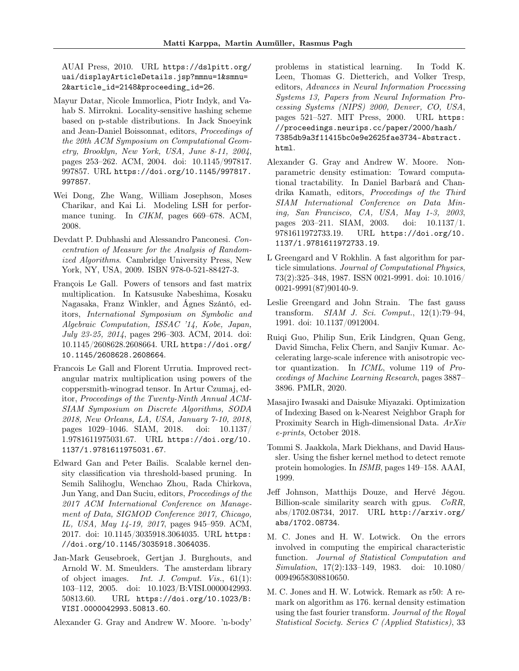AUAI Press, 2010. URL [https://dslpitt.org/](https://dslpitt.org/uai/displayArticleDetails.jsp?mmnu=1&smnu=2&article_id=2148&proceeding_id=26) [uai/displayArticleDetails.jsp?mmnu=1&smnu=](https://dslpitt.org/uai/displayArticleDetails.jsp?mmnu=1&smnu=2&article_id=2148&proceeding_id=26) [2&article\\_id=2148&proceeding\\_id=26](https://dslpitt.org/uai/displayArticleDetails.jsp?mmnu=1&smnu=2&article_id=2148&proceeding_id=26).

- <span id="page-10-3"></span>Mayur Datar, Nicole Immorlica, Piotr Indyk, and Vahab S. Mirrokni. Locality-sensitive hashing scheme based on p-stable distributions. In Jack Snoeyink and Jean-Daniel Boissonnat, editors, Proceedings of the 20th ACM Symposium on Computational Geometry, Brooklyn, New York, USA, June 8-11, 2004, pages 253–262. ACM, 2004. doi: 10.1145/997817. 997857. URL [https://doi.org/10.1145/997817.](https://doi.org/10.1145/997817.997857) [997857](https://doi.org/10.1145/997817.997857).
- <span id="page-10-7"></span>Wei Dong, Zhe Wang, William Josephson, Moses Charikar, and Kai Li. Modeling LSH for performance tuning. In *CIKM*, pages 669–678. ACM, 2008.
- <span id="page-10-14"></span>Devdatt P. Dubhashi and Alessandro Panconesi. Concentration of Measure for the Analysis of Randomized Algorithms. Cambridge University Press, New York, NY, USA, 2009. ISBN 978-0-521-88427-3.
- <span id="page-10-15"></span>François Le Gall. Powers of tensors and fast matrix multiplication. In Katsusuke Nabeshima, Kosaku Nagasaka, Franz Winkler, and Ágnes Szántó, editors, International Symposium on Symbolic and Algebraic Computation, ISSAC '14, Kobe, Japan, July 23-25, 2014, pages 296–303. ACM, 2014. doi: 10.1145/2608628.2608664. URL [https://doi.org/](https://doi.org/10.1145/2608628.2608664) [10.1145/2608628.2608664](https://doi.org/10.1145/2608628.2608664).
- <span id="page-10-16"></span>Francois Le Gall and Florent Urrutia. Improved rectangular matrix multiplication using powers of the coppersmith-winograd tensor. In Artur Czumaj, editor, Proceedings of the Twenty-Ninth Annual ACM-SIAM Symposium on Discrete Algorithms, SODA 2018, New Orleans, LA, USA, January 7-10, 2018, pages 1029–1046. SIAM, 2018. doi: 10.1137/ 1.9781611975031.67. URL [https://doi.org/10.](https://doi.org/10.1137/1.9781611975031.67) [1137/1.9781611975031.67](https://doi.org/10.1137/1.9781611975031.67).
- <span id="page-10-0"></span>Edward Gan and Peter Bailis. Scalable kernel density classification via threshold-based pruning. In Semih Salihoglu, Wenchao Zhou, Rada Chirkova, Jun Yang, and Dan Suciu, editors, Proceedings of the 2017 ACM International Conference on Management of Data, SIGMOD Conference 2017, Chicago, IL, USA, May 14-19, 2017, pages 945–959. ACM, 2017. doi: 10.1145/3035918.3064035. URL [https:](https://doi.org/10.1145/3035918.3064035) [//doi.org/10.1145/3035918.3064035](https://doi.org/10.1145/3035918.3064035).
- <span id="page-10-9"></span>Jan-Mark Geusebroek, Gertjan J. Burghouts, and Arnold W. M. Smeulders. The amsterdam library of object images. Int. J. Comput. Vis., 61(1): 103–112, 2005. doi: 10.1023/B:VISI.0000042993. 50813.60. URL [https://doi.org/10.1023/B:](https://doi.org/10.1023/B:VISI.0000042993.50813.60) [VISI.0000042993.50813.60](https://doi.org/10.1023/B:VISI.0000042993.50813.60).
- <span id="page-10-1"></span>Alexander G. Gray and Andrew W. Moore. 'n-body'

problems in statistical learning. In Todd K. Leen, Thomas G. Dietterich, and Volker Tresp, editors, Advances in Neural Information Processing Systems 13, Papers from Neural Information Processing Systems (NIPS) 2000, Denver, CO, USA, pages 521–527. MIT Press, 2000. URL [https:](https://proceedings.neurips.cc/paper/2000/hash/7385db9a3f11415bc0e9e2625fae3734-Abstract.html) [//proceedings.neurips.cc/paper/2000/hash/](https://proceedings.neurips.cc/paper/2000/hash/7385db9a3f11415bc0e9e2625fae3734-Abstract.html) [7385db9a3f11415bc0e9e2625fae3734-Abstract.](https://proceedings.neurips.cc/paper/2000/hash/7385db9a3f11415bc0e9e2625fae3734-Abstract.html) [html](https://proceedings.neurips.cc/paper/2000/hash/7385db9a3f11415bc0e9e2625fae3734-Abstract.html).

- <span id="page-10-2"></span>Alexander G. Gray and Andrew W. Moore. Nonparametric density estimation: Toward computational tractability. In Daniel Barbará and Chandrika Kamath, editors, Proceedings of the Third SIAM International Conference on Data Mining, San Francisco, CA, USA, May 1-3, 2003, pages 203–211. SIAM, 2003. doi: 10.1137/1. 9781611972733.19. URL [https://doi.org/10.](https://doi.org/10.1137/1.9781611972733.19) [1137/1.9781611972733.19](https://doi.org/10.1137/1.9781611972733.19).
- <span id="page-10-12"></span>L Greengard and V Rokhlin. A fast algorithm for particle simulations. Journal of Computational Physics, 73(2):325–348, 1987. ISSN 0021-9991. doi: 10.1016/ 0021-9991(87)90140-9.
- <span id="page-10-13"></span>Leslie Greengard and John Strain. The fast gauss transform. SIAM J. Sci. Comput., 12(1):79–94, 1991. doi: 10.1137/0912004.
- <span id="page-10-6"></span>Ruiqi Guo, Philip Sun, Erik Lindgren, Quan Geng, David Simcha, Felix Chern, and Sanjiv Kumar. Accelerating large-scale inference with anisotropic vector quantization. In ICML, volume 119 of Proceedings of Machine Learning Research, pages 3887– 3896. PMLR, 2020.
- <span id="page-10-4"></span>Masajiro Iwasaki and Daisuke Miyazaki. Optimization of Indexing Based on k-Nearest Neighbor Graph for Proximity Search in High-dimensional Data. ArXiv e-prints, October 2018.
- <span id="page-10-8"></span>Tommi S. Jaakkola, Mark Diekhans, and David Haussler. Using the fisher kernel method to detect remote protein homologies. In ISMB, pages 149–158. AAAI, 1999.
- <span id="page-10-5"></span>Jeff Johnson, Matthijs Douze, and Hervé Jégou. Billion-scale similarity search with gpus. CoRR, abs/1702.08734, 2017. URL [http://arxiv.org/](http://arxiv.org/abs/1702.08734) [abs/1702.08734](http://arxiv.org/abs/1702.08734).
- <span id="page-10-10"></span>M. C. Jones and H. W. Lotwick. On the errors involved in computing the empirical characteristic function. Journal of Statistical Computation and Simulation, 17(2):133–149, 1983. doi: 10.1080/ 00949658308810650.
- <span id="page-10-11"></span>M. C. Jones and H. W. Lotwick. Remark as r50: A remark on algorithm as 176. kernal density estimation using the fast fourier transform. Journal of the Royal Statistical Society. Series C (Applied Statistics), 33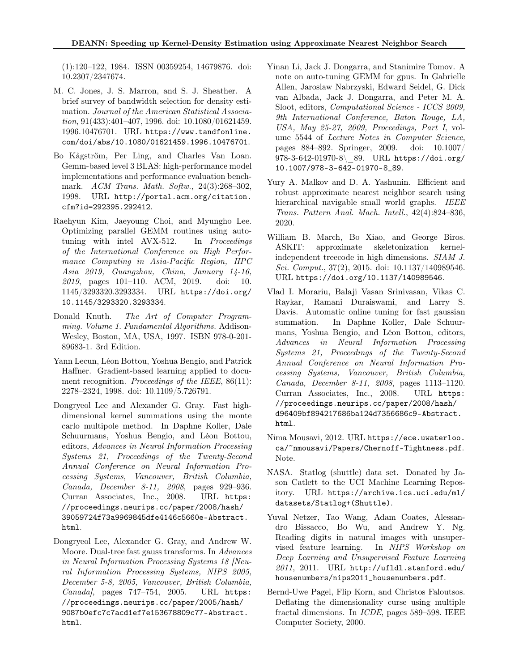(1):120–122, 1984. ISSN 00359254, 14679876. doi: 10.2307/2347674.

- <span id="page-11-0"></span>M. C. Jones, J. S. Marron, and S. J. Sheather. A brief survey of bandwidth selection for density estimation. Journal of the American Statistical Association, 91(433):401–407, 1996. doi: 10.1080/01621459. 1996.10476701. URL [https://www.tandfonline.](https://www.tandfonline.com/doi/abs/10.1080/01621459.1996.10476701) [com/doi/abs/10.1080/01621459.1996.10476701](https://www.tandfonline.com/doi/abs/10.1080/01621459.1996.10476701).
- <span id="page-11-12"></span>Bo Kågström, Per Ling, and Charles Van Loan. Gemm-based level 3 BLAS: high-performance model implementations and performance evaluation benchmark. ACM Trans. Math. Softw., 24(3):268–302, 1998. URL [http://portal.acm.org/citation.](http://portal.acm.org/citation.cfm?id=292395.292412) [cfm?id=292395.292412](http://portal.acm.org/citation.cfm?id=292395.292412).
- <span id="page-11-14"></span>Raehyun Kim, Jaeyoung Choi, and Myungho Lee. Optimizing parallel GEMM routines using autotuning with intel AVX-512. In Proceedings of the International Conference on High Performance Computing in Asia-Pacific Region, HPC Asia 2019, Guangzhou, China, January 14-16, 2019, pages 101–110. ACM, 2019. doi: 10. 1145/3293320.3293334. URL [https://doi.org/](https://doi.org/10.1145/3293320.3293334) [10.1145/3293320.3293334](https://doi.org/10.1145/3293320.3293334).
- <span id="page-11-10"></span>Donald Knuth. The Art of Computer Programming. Volume 1. Fundamental Algorithms. Addison-Wesley, Boston, MA, USA, 1997. ISBN 978-0-201- 89683-1. 3rd Edition.
- <span id="page-11-8"></span>Yann Lecun, Léon Bottou, Yoshua Bengio, and Patrick Haffner. Gradient-based learning applied to document recognition. Proceedings of the IEEE, 86(11): 2278–2324, 1998. doi: 10.1109/5.726791.
- <span id="page-11-2"></span>Dongryeol Lee and Alexander G. Gray. Fast highdimensional kernel summations using the monte carlo multipole method. In Daphne Koller, Dale Schuurmans, Yoshua Bengio, and Léon Bottou, editors, Advances in Neural Information Processing Systems 21, Proceedings of the Twenty-Second Annual Conference on Neural Information Processing Systems, Vancouver, British Columbia, Canada, December 8-11, 2008, pages 929–936. Curran Associates, Inc., 2008. URL [https:](https://proceedings.neurips.cc/paper/2008/hash/39059724f73a9969845dfe4146c5660e-Abstract.html) [//proceedings.neurips.cc/paper/2008/hash/](https://proceedings.neurips.cc/paper/2008/hash/39059724f73a9969845dfe4146c5660e-Abstract.html) [39059724f73a9969845dfe4146c5660e-Abstract.](https://proceedings.neurips.cc/paper/2008/hash/39059724f73a9969845dfe4146c5660e-Abstract.html) [html](https://proceedings.neurips.cc/paper/2008/hash/39059724f73a9969845dfe4146c5660e-Abstract.html).
- <span id="page-11-1"></span>Dongryeol Lee, Alexander G. Gray, and Andrew W. Moore. Dual-tree fast gauss transforms. In Advances in Neural Information Processing Systems 18 [Neural Information Processing Systems, NIPS 2005, December 5-8, 2005, Vancouver, British Columbia, Canada], pages 747-754, 2005. URL [https:](https://proceedings.neurips.cc/paper/2005/hash/9087b0efc7c7acd1ef7e153678809c77-Abstract.html) [//proceedings.neurips.cc/paper/2005/hash/](https://proceedings.neurips.cc/paper/2005/hash/9087b0efc7c7acd1ef7e153678809c77-Abstract.html) [9087b0efc7c7acd1ef7e153678809c77-Abstract.](https://proceedings.neurips.cc/paper/2005/hash/9087b0efc7c7acd1ef7e153678809c77-Abstract.html) [html](https://proceedings.neurips.cc/paper/2005/hash/9087b0efc7c7acd1ef7e153678809c77-Abstract.html).
- <span id="page-11-13"></span>Yinan Li, Jack J. Dongarra, and Stanimire Tomov. A note on auto-tuning GEMM for gpus. In Gabrielle Allen, Jaroslaw Nabrzyski, Edward Seidel, G. Dick van Albada, Jack J. Dongarra, and Peter M. A. Sloot, editors, Computational Science - ICCS 2009, 9th International Conference, Baton Rouge, LA, USA, May 25-27, 2009, Proceedings, Part I, volume 5544 of Lecture Notes in Computer Science, pages 884–892. Springer, 2009. doi: 10.1007/ 978-3-642-01970-8\\_89. URL [https://doi.org/](https://doi.org/10.1007/978-3-642-01970-8_89) [10.1007/978-3-642-01970-8\\_89](https://doi.org/10.1007/978-3-642-01970-8_89).
- <span id="page-11-6"></span>Yury A. Malkov and D. A. Yashunin. Efficient and robust approximate nearest neighbor search using hierarchical navigable small world graphs. *IEEE* Trans. Pattern Anal. Mach. Intell., 42(4):824–836, 2020.
- <span id="page-11-4"></span>William B. March, Bo Xiao, and George Biros. ASKIT: approximate skeletonization kernelindependent treecode in high dimensions. SIAM J. Sci. Comput., 37(2), 2015. doi: 10.1137/140989546. URL <https://doi.org/10.1137/140989546>.
- <span id="page-11-3"></span>Vlad I. Morariu, Balaji Vasan Srinivasan, Vikas C. Raykar, Ramani Duraiswami, and Larry S. Davis. Automatic online tuning for fast gaussian summation. In Daphne Koller, Dale Schuurmans, Yoshua Bengio, and Léon Bottou, editors, Advances in Neural Information Processing Systems 21, Proceedings of the Twenty-Second Annual Conference on Neural Information Processing Systems, Vancouver, British Columbia, Canada, December 8-11, 2008, pages 1113–1120. Curran Associates, Inc., 2008. URL [https:](https://proceedings.neurips.cc/paper/2008/hash/d96409bf894217686ba124d7356686c9-Abstract.html) [//proceedings.neurips.cc/paper/2008/hash/](https://proceedings.neurips.cc/paper/2008/hash/d96409bf894217686ba124d7356686c9-Abstract.html) [d96409bf894217686ba124d7356686c9-Abstract.](https://proceedings.neurips.cc/paper/2008/hash/d96409bf894217686ba124d7356686c9-Abstract.html) [html](https://proceedings.neurips.cc/paper/2008/hash/d96409bf894217686ba124d7356686c9-Abstract.html).
- <span id="page-11-11"></span>Nima Mousavi, 2012. URL [https://ece.uwaterloo.](https://ece.uwaterloo.ca/~nmousavi/Papers/Chernoff-Tightness.pdf) [ca/~nmousavi/Papers/Chernoff-Tightness.pdf](https://ece.uwaterloo.ca/~nmousavi/Papers/Chernoff-Tightness.pdf). Note.
- <span id="page-11-9"></span>NASA. Statlog (shuttle) data set. Donated by Jason Catlett to the UCI Machine Learning Repository. URL [https://archive.ics.uci.edu/ml/](https://archive.ics.uci.edu/ml/datasets/Statlog+(Shuttle)) [datasets/Statlog+\(Shuttle\)](https://archive.ics.uci.edu/ml/datasets/Statlog+(Shuttle)).
- <span id="page-11-5"></span>Yuval Netzer, Tao Wang, Adam Coates, Alessandro Bissacco, Bo Wu, and Andrew Y. Ng. Reading digits in natural images with unsupervised feature learning. In NIPS Workshop on Deep Learning and Unsupervised Feature Learning  $2011$ ,  $2011$ . URL [http://ufldl.stanford.edu/](http://ufldl.stanford.edu/housenumbers/nips2011_housenumbers.pdf) [housenumbers/nips2011\\_housenumbers.pdf](http://ufldl.stanford.edu/housenumbers/nips2011_housenumbers.pdf).
- <span id="page-11-7"></span>Bernd-Uwe Pagel, Flip Korn, and Christos Faloutsos. Deflating the dimensionality curse using multiple fractal dimensions. In ICDE, pages 589–598. IEEE Computer Society, 2000.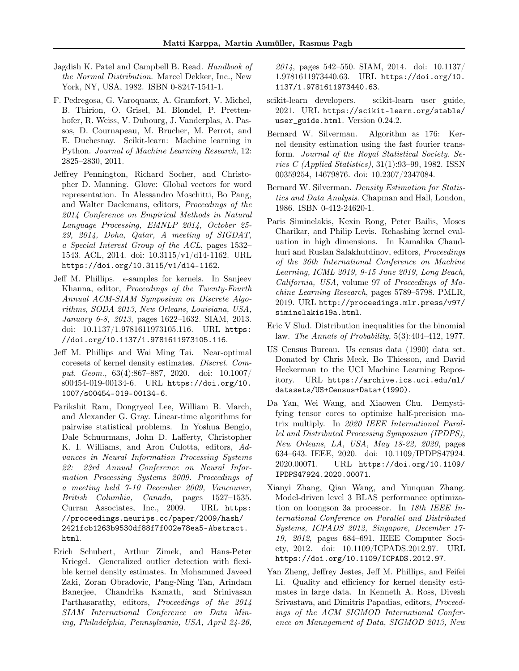- <span id="page-12-13"></span>Jagdish K. Patel and Campbell B. Read. Handbook of the Normal Distribution. Marcel Dekker, Inc., New York, NY, USA, 1982. ISBN 0-8247-1541-1.
- <span id="page-12-9"></span>F. Pedregosa, G. Varoquaux, A. Gramfort, V. Michel, B. Thirion, O. Grisel, M. Blondel, P. Prettenhofer, R. Weiss, V. Dubourg, J. Vanderplas, A. Passos, D. Cournapeau, M. Brucher, M. Perrot, and E. Duchesnay. Scikit-learn: Machine learning in Python. Journal of Machine Learning Research, 12: 2825–2830, 2011.
- <span id="page-12-8"></span>Jeffrey Pennington, Richard Socher, and Christopher D. Manning. Glove: Global vectors for word representation. In Alessandro Moschitti, Bo Pang, and Walter Daelemans, editors, Proceedings of the 2014 Conference on Empirical Methods in Natural Language Processing, EMNLP 2014, October 25- 29, 2014, Doha, Qatar, A meeting of SIGDAT, a Special Interest Group of the ACL, pages 1532– 1543. ACL, 2014. doi: 10.3115/v1/d14-1162. URL <https://doi.org/10.3115/v1/d14-1162>.
- <span id="page-12-4"></span>Jeff M. Phillips.  $\epsilon$ -samples for kernels. In Sanjeev Khanna, editor, Proceedings of the Twenty-Fourth Annual ACM-SIAM Symposium on Discrete Algorithms, SODA 2013, New Orleans, Louisiana, USA, January 6-8, 2013, pages 1622–1632. SIAM, 2013. doi: 10.1137/1.9781611973105.116. URL [https:](https://doi.org/10.1137/1.9781611973105.116) [//doi.org/10.1137/1.9781611973105.116](https://doi.org/10.1137/1.9781611973105.116).
- <span id="page-12-6"></span>Jeff M. Phillips and Wai Ming Tai. Near-optimal coresets of kernel density estimates. Discret. Comput. Geom., 63(4):867–887, 2020. doi: 10.1007/ s00454-019-00134-6. URL [https://doi.org/10.](https://doi.org/10.1007/s00454-019-00134-6) [1007/s00454-019-00134-6](https://doi.org/10.1007/s00454-019-00134-6).
- <span id="page-12-3"></span>Parikshit Ram, Dongryeol Lee, William B. March, and Alexander G. Gray. Linear-time algorithms for pairwise statistical problems. In Yoshua Bengio, Dale Schuurmans, John D. Lafferty, Christopher K. I. Williams, and Aron Culotta, editors, Advances in Neural Information Processing Systems 22: 23rd Annual Conference on Neural Information Processing Systems 2009. Proceedings of a meeting held 7-10 December 2009, Vancouver, British Columbia, Canada, pages 1527–1535. Curran Associates, Inc., 2009. URL [https:](https://proceedings.neurips.cc/paper/2009/hash/2421fcb1263b9530df88f7f002e78ea5-Abstract.html) [//proceedings.neurips.cc/paper/2009/hash/](https://proceedings.neurips.cc/paper/2009/hash/2421fcb1263b9530df88f7f002e78ea5-Abstract.html) [2421fcb1263b9530df88f7f002e78ea5-Abstract.](https://proceedings.neurips.cc/paper/2009/hash/2421fcb1263b9530df88f7f002e78ea5-Abstract.html) [html](https://proceedings.neurips.cc/paper/2009/hash/2421fcb1263b9530df88f7f002e78ea5-Abstract.html).
- <span id="page-12-2"></span>Erich Schubert, Arthur Zimek, and Hans-Peter Kriegel. Generalized outlier detection with flexible kernel density estimates. In Mohammed Javeed Zaki, Zoran Obradovic, Pang-Ning Tan, Arindam Banerjee, Chandrika Kamath, and Srinivasan Parthasarathy, editors, Proceedings of the 2014 SIAM International Conference on Data Mining, Philadelphia, Pennsylvania, USA, April 24-26,

2014, pages 542–550. SIAM, 2014. doi: 10.1137/ 1.9781611973440.63. URL [https://doi.org/10.](https://doi.org/10.1137/1.9781611973440.63) [1137/1.9781611973440.63](https://doi.org/10.1137/1.9781611973440.63).

- <span id="page-12-1"></span>scikit-learn developers. scikit-learn user guide, 2021. URL [https://scikit-learn.org/stable/](https://scikit-learn.org/stable/user_guide.html) [user\\_guide.html](https://scikit-learn.org/stable/user_guide.html). Version 0.24.2.
- <span id="page-12-11"></span>Bernard W. Silverman. Algorithm as 176: Kernel density estimation using the fast fourier transform. Journal of the Royal Statistical Society. Series C (Applied Statistics), 31(1):93–99, 1982. ISSN 00359254, 14679876. doi: 10.2307/2347084.
- <span id="page-12-0"></span>Bernard W. Silverman. Density Estimation for Statistics and Data Analysis. Chapman and Hall, London, 1986. ISBN 0-412-24620-1.
- <span id="page-12-7"></span>Paris Siminelakis, Kexin Rong, Peter Bailis, Moses Charikar, and Philip Levis. Rehashing kernel evaluation in high dimensions. In Kamalika Chaudhuri and Ruslan Salakhutdinov, editors, Proceedings of the 36th International Conference on Machine Learning, ICML 2019, 9-15 June 2019, Long Beach, California, USA, volume 97 of Proceedings of Machine Learning Research, pages 5789–5798. PMLR, 2019. URL [http://proceedings.mlr.press/v97/](http://proceedings.mlr.press/v97/siminelakis19a.html) [siminelakis19a.html](http://proceedings.mlr.press/v97/siminelakis19a.html).
- <span id="page-12-12"></span>Eric V Slud. Distribution inequalities for the binomial law. The Annals of Probability, 5(3):404–412, 1977.
- <span id="page-12-10"></span>US Census Bureau. Us census data (1990) data set. Donated by Chris Meek, Bo Thiesson, and David Heckerman to the UCI Machine Learning Repository. URL [https://archive.ics.uci.edu/ml/](https://archive.ics.uci.edu/ml/datasets/US+Census+Data+(1990)) [datasets/US+Census+Data+\(1990\)](https://archive.ics.uci.edu/ml/datasets/US+Census+Data+(1990)).
- <span id="page-12-15"></span>Da Yan, Wei Wang, and Xiaowen Chu. Demystifying tensor cores to optimize half-precision matrix multiply. In 2020 IEEE International Parallel and Distributed Processing Symposium (IPDPS), New Orleans, LA, USA, May 18-22, 2020, pages 634–643. IEEE, 2020. doi: 10.1109/IPDPS47924. 2020.00071. URL [https://doi.org/10.1109/](https://doi.org/10.1109/IPDPS47924.2020.00071) [IPDPS47924.2020.00071](https://doi.org/10.1109/IPDPS47924.2020.00071).
- <span id="page-12-14"></span>Xianyi Zhang, Qian Wang, and Yunquan Zhang. Model-driven level 3 BLAS performance optimization on loongson 3a processor. In 18th IEEE International Conference on Parallel and Distributed Systems, ICPADS 2012, Singapore, December 17- 19, 2012, pages 684–691. IEEE Computer Society, 2012. doi: 10.1109/ICPADS.2012.97. URL <https://doi.org/10.1109/ICPADS.2012.97>.
- <span id="page-12-5"></span>Yan Zheng, Jeffrey Jestes, Jeff M. Phillips, and Feifei Li. Quality and efficiency for kernel density estimates in large data. In Kenneth A. Ross, Divesh Srivastava, and Dimitris Papadias, editors, Proceedings of the ACM SIGMOD International Conference on Management of Data, SIGMOD 2013, New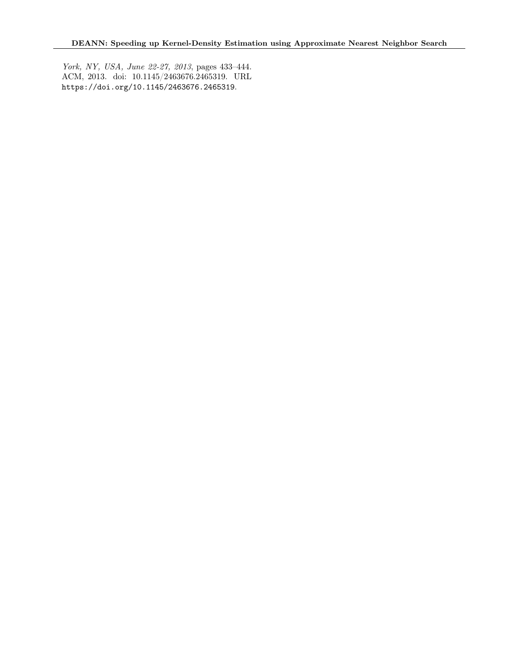York, NY, USA, June 22-27, 2013, pages 433–444. ACM, 2013. doi: 10.1145/2463676.2465319. URL <https://doi.org/10.1145/2463676.2465319>.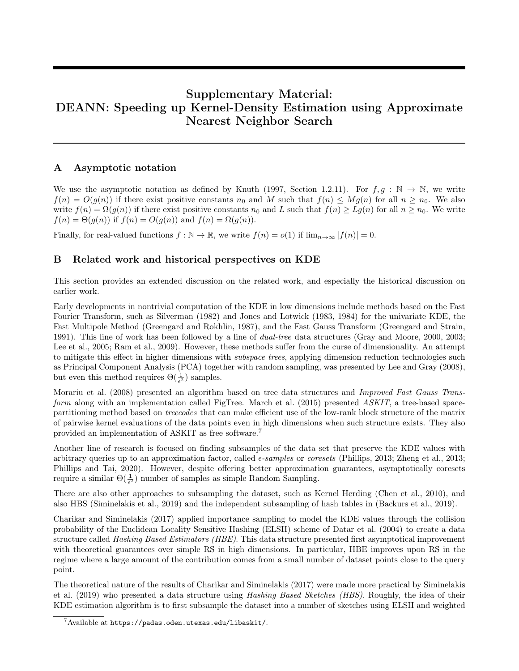# Supplementary Material: DEANN: Speeding up Kernel-Density Estimation using Approximate Nearest Neighbor Search

## A Asymptotic notation

We use the asymptotic notation as defined by [Knuth](#page-11-10) [\(1997,](#page-11-10) Section 1.2.11). For  $f, g : \mathbb{N} \to \mathbb{N}$ , we write  $f(n) = O(g(n))$  if there exist positive constants  $n_0$  and M such that  $f(n) \leq Mg(n)$  for all  $n \geq n_0$ . We also write  $f(n) = \Omega(g(n))$  if there exist positive constants  $n_0$  and L such that  $f(n) \ge Lg(n)$  for all  $n \ge n_0$ . We write  $f(n) = \Theta(g(n))$  if  $f(n) = O(g(n))$  and  $f(n) = \Omega(g(n))$ .

Finally, for real-valued functions  $f : \mathbb{N} \to \mathbb{R}$ , we write  $f(n) = o(1)$  if  $\lim_{n \to \infty} |f(n)| = 0$ .

# <span id="page-14-0"></span>B Related work and historical perspectives on KDE

This section provides an extended discussion on the related work, and especially the historical discussion on earlier work.

Early developments in nontrivial computation of the KDE in low dimensions include methods based on the Fast Fourier Transform, such as [Silverman](#page-12-11) [\(1982\)](#page-12-11) and [Jones and Lotwick](#page-10-10) [\(1983,](#page-10-10) [1984\)](#page-10-11) for the univariate KDE, the Fast Multipole Method [\(Greengard and Rokhlin, 1987\)](#page-10-12), and the Fast Gauss Transform [\(Greengard and Strain,](#page-10-13) [1991\)](#page-10-13). This line of work has been followed by a line of dual-tree data structures [\(Gray and Moore, 2000,](#page-10-1) [2003;](#page-10-2) [Lee et al., 2005;](#page-11-1) [Ram et al., 2009\)](#page-12-3). However, these methods suffer from the curse of dimensionality. An attempt to mitigate this effect in higher dimensions with *subspace trees*, applying dimension reduction technologies such as Principal Component Analysis (PCA) together with random sampling, was presented by [Lee and Gray](#page-11-2) [\(2008\)](#page-11-2), but even this method requires  $\Theta(\frac{1}{\epsilon^2})$  samples.

[Morariu et al.](#page-11-3) [\(2008\)](#page-11-3) presented an algorithm based on tree data structures and Improved Fast Gauss Trans-form along with an implementation called FigTree. [March et al.](#page-11-4) [\(2015\)](#page-11-4) presented ASKIT, a tree-based spacepartitioning method based on treecodes that can make efficient use of the low-rank block structure of the matrix of pairwise kernel evaluations of the data points even in high dimensions when such structure exists. They also provided an implementation of ASKIT as free software.[7](#page-14-1)

Another line of research is focused on finding subsamples of the data set that preserve the KDE values with arbitrary queries up to an approximation factor, called  $\epsilon$ -samples or coresets [\(Phillips, 2013;](#page-12-4) [Zheng et al., 2013;](#page-12-5) [Phillips and Tai, 2020\)](#page-12-6). However, despite offering better approximation guarantees, asymptotically coresets require a similar  $\Theta(\frac{1}{\epsilon^2})$  number of samples as simple Random Sampling.

There are also other approaches to subsampling the dataset, such as Kernel Herding [\(Chen et al., 2010\)](#page-9-11), and also HBS [\(Siminelakis et al., 2019\)](#page-12-7) and the independent subsampling of hash tables in [\(Backurs et al., 2019\)](#page-9-2).

[Charikar and Siminelakis](#page-9-1) [\(2017\)](#page-9-1) applied importance sampling to model the KDE values through the collision probability of the Euclidean Locality Sensitive Hashing (ELSH) scheme of [Datar et al.](#page-10-3) [\(2004\)](#page-10-3) to create a data structure called Hashing Based Estimators (HBE). This data structure presented first asymptotical improvement with theoretical guarantees over simple RS in high dimensions. In particular, HBE improves upon RS in the regime where a large amount of the contribution comes from a small number of dataset points close to the query point.

The theoretical nature of the results of [Charikar and Siminelakis](#page-9-1) [\(2017\)](#page-9-1) were made more practical by [Siminelakis](#page-12-7) [et al.](#page-12-7) [\(2019\)](#page-12-7) who presented a data structure using Hashing Based Sketches (HBS). Roughly, the idea of their KDE estimation algorithm is to first subsample the dataset into a number of sketches using ELSH and weighted

<span id="page-14-1"></span> $7$ Available at <https://padas.oden.utexas.edu/libaskit/>.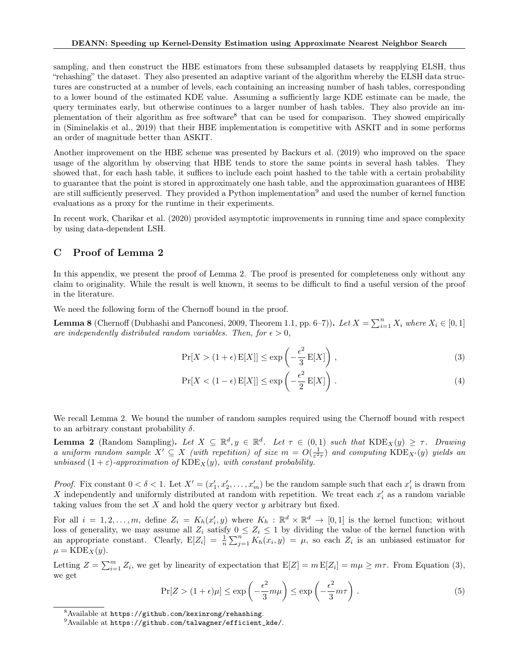sampling, and then construct the HBE estimators from these subsampled datasets by reapplying ELSH, thus "rehashing" the dataset. They also presented an adaptive variant of the algorithm whereby the ELSH data structures are constructed at a number of levels, each containing an increasing number of hash tables, corresponding to a lower bound of the estimated KDE value. Assuming a sufficiently large KDE estimate can be made, the query terminates early, but otherwise continues to a larger number of hash tables. They also provide an im-plementation of their algorithm as free software<sup>[8](#page-15-1)</sup> that can be used for comparison. They showed empirically in [\(Siminelakis et al., 2019\)](#page-12-7) that their HBE implementation is competitive with ASKIT and in some performs an order of magnitude better than ASKIT.

Another improvement on the HBE scheme was presented by [Backurs et al.](#page-9-2) [\(2019\)](#page-9-2) who improved on the space usage of the algorithm by observing that HBE tends to store the same points in several hash tables. They showed that, for each hash table, it suffices to include each point hashed to the table with a certain probability to guarantee that the point is stored in approximately one hash table, and the approximation guarantees of HBE are still sufficiently preserved. They provided a Python implementation<sup>[9](#page-15-2)</sup> and used the number of kernel function evaluations as a proxy for the runtime in their experiments.

In recent work, [Charikar et al.](#page-9-3) [\(2020\)](#page-9-3) provided asymptotic improvements in running time and space complexity by using data-dependent LSH.

## <span id="page-15-0"></span>C Proof of Lemma [2](#page-3-1)

In this appendix, we present the proof of Lemma [2.](#page-3-1) The proof is presented for completeness only without any claim to originality. While the result is well known, it seems to be difficult to find a useful version of the proof in the literature.

We need the following form of the Chernoff bound in the proof.

**Lemma 8** (Chernoff [\(Dubhashi and Panconesi, 2009,](#page-10-14) Theorem 1.1, pp. 6–7)). Let  $X = \sum_{i=1}^{n} X_i$  where  $X_i \in [0, 1]$ are independently distributed random variables. Then, for  $\epsilon > 0$ ,

<span id="page-15-3"></span>
$$
\Pr[X > (1 + \epsilon) \mathbb{E}[X]] \le \exp\left(-\frac{\epsilon^2}{3} \mathbb{E}[X]\right),\tag{3}
$$

<span id="page-15-5"></span>
$$
\Pr[X < (1 - \epsilon) \, \mathcal{E}[X]] \le \exp\left(-\frac{\epsilon^2}{2} \, \mathcal{E}[X]\right) \,. \tag{4}
$$

We recall Lemma [2.](#page-3-1) We bound the number of random samples required using the Chernoff bound with respect to an arbitrary constant probability  $\delta$ .

**Lemma 2** (Random Sampling). Let  $X \subseteq \mathbb{R}^d$ ,  $y \in \mathbb{R}^d$ . Let  $\tau \in (0,1)$  such that  $\text{KDE}_X(y) \geq \tau$ . Drawing a uniform random sample  $X' \subseteq X$  (with repetition) of size  $m = O(\frac{1}{\varepsilon^2 \tau})$  and computing  $\text{KDE}_{X'}(y)$  yields an unbiased  $(1+\varepsilon)$ -approximation of  $\text{KDE}_X(y)$ , with constant probability.

*Proof.* Fix constant  $0 < \delta < 1$ . Let  $X' = (x'_1, x'_2, \ldots, x'_m)$  be the random sample such that each  $x'_i$  is drawn from X independently and uniformly distributed at random with repetition. We treat each  $x_i'$  as a random variable taking values from the set  $X$  and hold the query vector  $y$  arbitrary but fixed.

For all  $i = 1, 2, ..., m$ , define  $Z_i = K_h(x'_i, y)$  where  $K_h : \mathbb{R}^d \times \mathbb{R}^d \to [0, 1]$  is the kernel function; without loss of generality, we may assume all  $Z_i$  satisfy  $0 \le Z_i \le 1$  by dividing the value of the kernel function with an appropriate constant. Clearly,  $E[Z_i] = \frac{1}{n} \sum_{j=1}^n K_h(x_i, y) = \mu$ , so each  $Z_i$  is an unbiased estimator for  $\mu = \text{KDE}_X(y).$ 

Letting  $Z = \sum_{i=1}^{m} Z_i$ , we get by linearity of expectation that  $E[Z] = m E[Z_i] = m\mu \ge m\tau$ . From Equation [\(3\)](#page-15-3), we get

<span id="page-15-4"></span>
$$
\Pr[Z > (1 + \epsilon)\mu] \le \exp\left(-\frac{\epsilon^2}{3}m\mu\right) \le \exp\left(-\frac{\epsilon^2}{3}m\tau\right). \tag{5}
$$

<span id="page-15-1"></span><sup>8</sup>Available at <https://github.com/kexinrong/rehashing>.

<span id="page-15-2"></span> $^{9}$ Available at [https://github.com/talwagner/efficient\\_kde/](https://github.com/talwagner/efficient_kde/).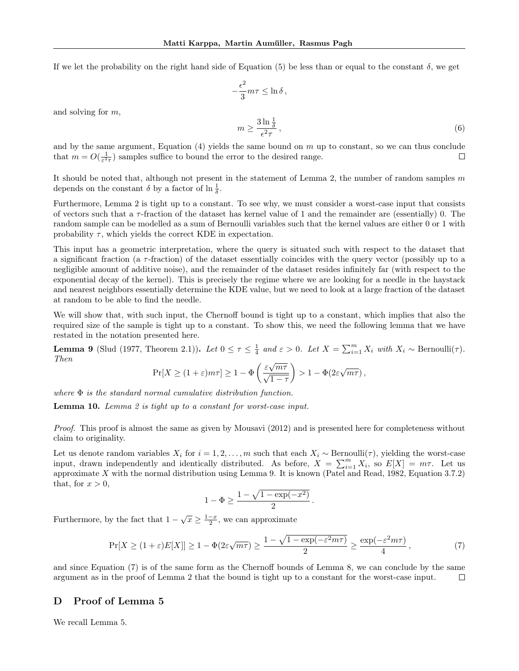If we let the probability on the right hand side of Equation [\(5\)](#page-15-4) be less than or equal to the constant  $\delta$ , we get

$$
-\frac{\epsilon^2}{3}m\tau\leq\ln\delta\,,
$$

and solving for m,

$$
m \ge \frac{3\ln\frac{1}{\delta}}{\epsilon^2 \tau},\tag{6}
$$

and by the same argument, Equation [\(4\)](#page-15-5) yields the same bound on  $m$  up to constant, so we can thus conclude that  $m = O(\frac{1}{\varepsilon^2 \tau})$  samples suffice to bound the error to the desired range.  $\Box$ 

It should be noted that, although not present in the statement of Lemma [2,](#page-3-1) the number of random samples  $m$ depends on the constant  $\delta$  by a factor of  $\ln \frac{1}{\delta}$ .

Furthermore, Lemma [2](#page-3-1) is tight up to a constant. To see why, we must consider a worst-case input that consists of vectors such that a  $\tau$ -fraction of the dataset has kernel value of 1 and the remainder are (essentially) 0. The random sample can be modelled as a sum of Bernoulli variables such that the kernel values are either 0 or 1 with probability  $\tau$ , which yields the correct KDE in expectation.

This input has a geometric interpretation, where the query is situated such with respect to the dataset that a significant fraction (a  $\tau$ -fraction) of the dataset essentially coincides with the query vector (possibly up to a negligible amount of additive noise), and the remainder of the dataset resides infinitely far (with respect to the exponential decay of the kernel). This is precisely the regime where we are looking for a needle in the haystack and nearest neighbors essentially determine the KDE value, but we need to look at a large fraction of the dataset at random to be able to find the needle.

We will show that, with such input, the Chernoff bound is tight up to a constant, which implies that also the required size of the sample is tight up to a constant. To show this, we need the following lemma that we have restated in the notation presented here.

<span id="page-16-1"></span>**Lemma 9** [\(Slud](#page-12-12) [\(1977,](#page-12-12) Theorem 2.1)). Let  $0 \le \tau \le \frac{1}{4}$  and  $\varepsilon > 0$ . Let  $X = \sum_{i=1}^{m} X_i$  with  $X_i \sim \text{Bernoulli}(\tau)$ . Then √

$$
\Pr[X \ge (1+\varepsilon)m\tau] \ge 1 - \Phi\left(\frac{\varepsilon\sqrt{m\tau}}{\sqrt{1-\tau}}\right) > 1 - \Phi(2\varepsilon\sqrt{m\tau}),
$$

where  $\Phi$  is the standard normal cumulative distribution function.

**Lemma 10.** Lemma [2](#page-3-1) is tight up to a constant for worst-case input.

Proof. This proof is almost the same as given by [Mousavi](#page-11-11) [\(2012\)](#page-11-11) and is presented here for completeness without claim to originality.

Let us denote random variables  $X_i$  for  $i = 1, 2, ..., m$  such that each  $X_i \sim \text{Bernoulli}(\tau)$ , yielding the worst-case input, drawn independently and identically distributed. As before,  $X = \sum_{i=1}^{m} X_i$ , so  $E[X] = m\tau$ . Let us approximate X with the normal distribution using Lemma [9.](#page-16-1) It is known [\(Patel and Read, 1982,](#page-12-13) Equation 3.7.2) that, for  $x > 0$ ,

$$
1 - \Phi \ge \frac{1 - \sqrt{1 - \exp(-x^2)}}{2}
$$

Furthermore, by the fact that  $1 - \sqrt{x} \ge \frac{1-x}{2}$ , we can approximate

<span id="page-16-2"></span>
$$
\Pr[X \ge (1+\varepsilon)E[X]] \ge 1 - \Phi(2\varepsilon\sqrt{m\tau}) \ge \frac{1 - \sqrt{1 - \exp(-\varepsilon^2 m\tau)}}{2} \ge \frac{\exp(-\varepsilon^2 m\tau)}{4},\tag{7}
$$

.

and since Equation [\(7\)](#page-16-2) is of the same form as the Chernoff bounds of Lemma [8,](#page-15-5) we can conclude by the same argument as in the proof of Lemma [2](#page-3-1) that the bound is tight up to a constant for the worst-case input. П

#### <span id="page-16-0"></span>D Proof of Lemma [5](#page-4-2)

We recall Lemma [5.](#page-4-2)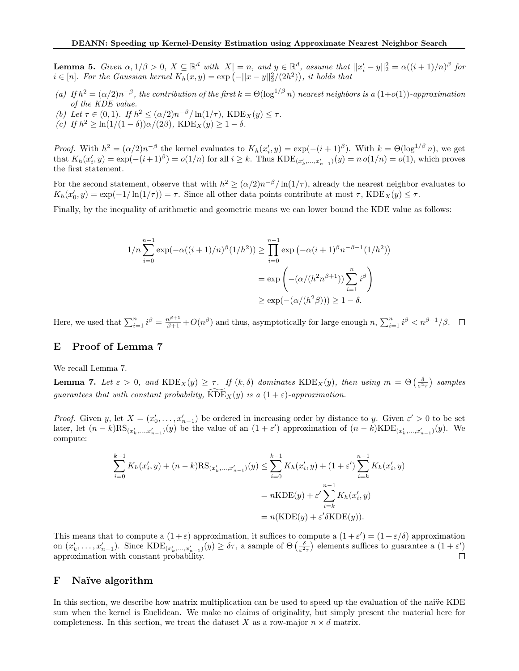**Lemma 5.** Given  $\alpha, 1/\beta > 0$ ,  $X \subseteq \mathbb{R}^d$  with  $|X| = n$ , and  $y \in \mathbb{R}^d$ , assume that  $||x'_i - y||_2^2 = \alpha((i + 1)/n)^{\beta}$  for  $i \in [n]$ . For the Gaussian kernel  $K_h(x, y) = \exp(-||x - y||_2^2/(2h^2))$ , it holds that

- (a) If  $h^2 = (\alpha/2)n^{-\beta}$ , the contribution of the first  $k = \Theta(\log^{1/\beta} n)$  nearest neighbors is a  $(1+o(1))$ -approximation of the KDE value.
- (b) Let  $\tau \in (0,1)$ . If  $h^2 \leq (\alpha/2)n^{-\beta}/\ln(1/\tau)$ , KDE<sub>X</sub>(y)  $\leq \tau$ .
- (c) If  $h^2 \geq \ln(1/(1-\delta))\alpha/(2\beta)$ , KDE<sub>X</sub>(y)  $\geq 1-\delta$ .

*Proof.* With  $h^2 = (\alpha/2)n^{-\beta}$  the kernel evaluates to  $K_h(x'_i, y) = \exp(-(i+1)^{\beta})$ . With  $k = \Theta(\log^{1/\beta} n)$ , we get that  $K_h(x'_i, y) = \exp(-(i+1)^{\beta}) = o(1/n)$  for all  $i \geq k$ . Thus  $KDE_{(x'_k, ..., x'_{n-1})}(y) = n o(1/n) = o(1)$ , which proves the first statement.

For the second statement, observe that with  $h^2 \ge (\alpha/2)n^{-\beta}/\ln(1/\tau)$ , already the nearest neighbor evaluates to  $K_h(x'_0, y) = \exp(-1/\ln(1/\tau)) = \tau$ . Since all other data points contribute at most  $\tau$ , KDE<sub>X</sub>(y)  $\leq \tau$ .

Finally, by the inequality of arithmetic and geometric means we can lower bound the KDE value as follows:

$$
1/n \sum_{i=0}^{n-1} \exp(-\alpha((i+1)/n)^{\beta}(1/h^2)) \ge \prod_{i=0}^{n-1} \exp(-\alpha(i+1)^{\beta}n^{-\beta-1}(1/h^2))
$$
  
=  $\exp\left(-(\alpha/(h^2n^{\beta+1})) \sum_{i=1}^{n} i^{\beta}\right)$   
 $\ge \exp(-(\alpha/(h^2\beta))) \ge 1 - \delta.$ 

Here, we used that  $\sum_{i=1}^{n} i^{\beta} = \frac{n^{\beta+1}}{\beta+1} + O(n^{\beta})$  and thus, asymptotically for large enough  $n, \sum_{i=1}^{n} i^{\beta} < n^{\beta+1}/\beta$ .

## <span id="page-17-0"></span>E Proof of Lemma [7](#page-4-3)

We recall Lemma [7.](#page-4-3)

**Lemma 7.** Let  $\varepsilon > 0$ , and  $\text{KDE}_X(y) \geq \tau$ . If  $(k, \delta)$  dominates  $\text{KDE}_X(y)$ , then using  $m = \Theta\left(\frac{\delta}{\varepsilon^2 \tau}\right)$  samples guarantees that with constant probability,  $\widehat{KDE}_X(y)$  is a  $(1 + \varepsilon)$ -approximation.

*Proof.* Given y, let  $X = (x'_0, \ldots, x'_{n-1})$  be ordered in increasing order by distance to y. Given  $\varepsilon' > 0$  to be set later, let  $(n-k)RS_{(x'_{k},...,x'_{n-1})}(y)$  be the value of an  $(1+\varepsilon')$  approximation of  $(n-k)KDE_{(x'_{k},...,x'_{n-1})}(y)$ . We compute:

$$
\sum_{i=0}^{k-1} K_h(x'_i, y) + (n - k)RS_{(x'_k, \dots, x'_{n-1})}(y) \le \sum_{i=0}^{k-1} K_h(x'_i, y) + (1 + \varepsilon') \sum_{i=k}^{n-1} K_h(x'_i, y)
$$

$$
= nKDE(y) + \varepsilon' \sum_{i=k}^{n-1} K_h(x'_i, y)
$$

$$
= n(KDE(y) + \varepsilon' \delta KDE(y)).
$$

This means that to compute a  $(1+\varepsilon)$  approximation, it suffices to compute a  $(1+\varepsilon') = (1+\varepsilon/\delta)$  approximation on  $(x'_k, \ldots, x'_{n-1})$ . Since  $\text{KDE}_{(x'_k, \ldots, x'_{n-1})}(y) \geq \delta \tau$ , a sample of  $\Theta\left(\frac{\delta}{\varepsilon^2 \tau}\right)$  elements suffices to guarantee a  $(1 + \varepsilon')$ approximation with constant probability.  $\Box$ 

#### <span id="page-17-1"></span>F Naïve algorithm

In this section, we describe how matrix multiplication can be used to speed up the evaluation of the naive KDE sum when the kernel is Euclidean. We make no claims of originality, but simply present the material here for completeness. In this section, we treat the dataset X as a row-major  $n \times d$  matrix.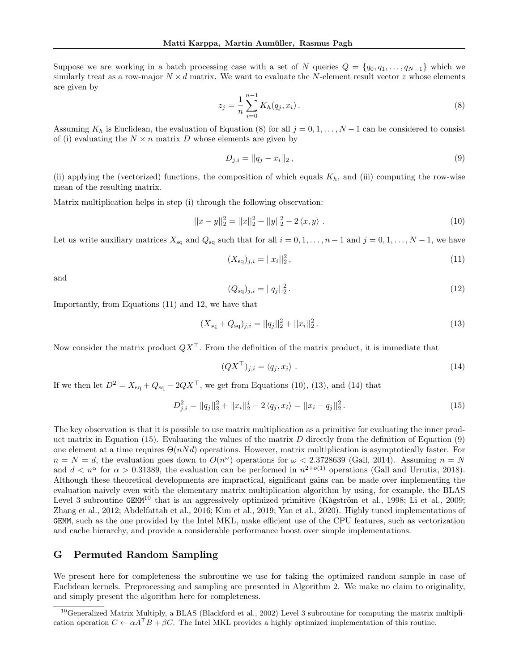Suppose we are working in a batch processing case with a set of N queries  $Q = \{q_0, q_1, \ldots, q_{N-1}\}\$  which we similarly treat as a row-major  $N \times d$  matrix. We want to evaluate the N-element result vector z whose elements are given by

<span id="page-18-1"></span>
$$
z_j = \frac{1}{n} \sum_{i=0}^{n-1} K_h(q_j, x_i).
$$
 (8)

Assuming  $K_h$  is Euclidean, the evaluation of Equation [\(8\)](#page-18-1) for all  $j = 0, 1, \ldots, N-1$  can be considered to consist of (i) evaluating the  $N \times n$  matrix D whose elements are given by

<span id="page-18-8"></span>
$$
D_{j,i} = ||q_j - x_i||_2, \tag{9}
$$

(ii) applying the (vectorized) functions, the composition of which equals  $K_h$ , and (iii) computing the row-wise mean of the resulting matrix.

Matrix multiplication helps in step (i) through the following observation:

<span id="page-18-4"></span>
$$
||x - y||_2^2 = ||x||_2^2 + ||y||_2^2 - 2\langle x, y \rangle.
$$
 (10)

Let us write auxiliary matrices  $X_{sq}$  and  $Q_{sq}$  such that for all  $i = 0, 1, \ldots, n - 1$  and  $j = 0, 1, \ldots, N - 1$ , we have

<span id="page-18-2"></span>
$$
(X_{\text{sq}})_{j,i} = ||x_i||_2^2,\tag{11}
$$

and

<span id="page-18-3"></span>
$$
(Q_{\text{sq}})_{j,i} = ||q_j||_2^2. \tag{12}
$$

Importantly, from Equations [\(11\)](#page-18-2) and [12,](#page-18-3) we have that

<span id="page-18-5"></span>
$$
(X_{\text{sq}} + Q_{\text{sq}})_{j,i} = ||q_j||_2^2 + ||x_i||_2^2.
$$
\n(13)

Now consider the matrix product  $QX^{\top}$ . From the definition of the matrix product, it is immediate that

<span id="page-18-6"></span>
$$
(QX^{\top})_{j,i} = \langle q_j, x_i \rangle \tag{14}
$$

If we then let  $D^2 = X_{\text{sq}} + Q_{\text{sq}} - 2QX^{\top}$ , we get from Equations [\(10\)](#page-18-4), [\(13\)](#page-18-5), and [\(14\)](#page-18-6) that

<span id="page-18-7"></span>
$$
D_{j,i}^{2} = ||q_{j}||_{2}^{2} + ||x_{i}||_{2}^{j} - 2\langle q_{j}, x_{i} \rangle = ||x_{i} - q_{j}||_{2}^{2}.
$$
\n(15)

The key observation is that it is possible to use matrix multiplication as a primitive for evaluating the inner prod-uct matrix in Equation [\(15\)](#page-18-7). Evaluating the values of the matrix  $D$  directly from the definition of Equation [\(9\)](#page-18-8) one element at a time requires  $\Theta(nNd)$  operations. However, matrix multiplication is asymptotically faster. For  $n = N = d$ , the evaluation goes down to  $O(n^{\omega})$  operations for  $\omega < 2.3728639$  [\(Gall, 2014\)](#page-10-15). Assuming  $n = N$ and  $d < n^{\alpha}$  for  $\alpha > 0.31389$ , the evaluation can be performed in  $n^{2+o(1)}$  operations [\(Gall and Urrutia, 2018\)](#page-10-16). Although these theoretical developments are impractical, significant gains can be made over implementing the evaluation naively even with the elementary matrix multiplication algorithm by using, for example, the BLAS Level 3 subroutine GEMM<sup>[10](#page-18-9)</sup> that is an aggressively optimized primitive [\(Kågström et al., 1998;](#page-11-12) [Li et al., 2009;](#page-11-13) [Zhang et al., 2012;](#page-12-14) [Abdelfattah et al., 2016;](#page-9-12) [Kim et al., 2019;](#page-11-14) [Yan et al., 2020\)](#page-12-15). Highly tuned implementations of GEMM, such as the one provided by the Intel MKL, make efficient use of the CPU features, such as vectorization and cache hierarchy, and provide a considerable performance boost over simple implementations.

#### <span id="page-18-0"></span>G Permuted Random Sampling

We present here for completeness the subroutine we use for taking the optimized random sample in case of Euclidean kernels. Preprocessing and sampling are presented in Algorithm [2.](#page-19-1) We make no claim to originality, and simply present the algorithm here for completeness.

<span id="page-18-9"></span> $10$ Generalized Matrix Multiply, a BLAS [\(Blackford et al., 2002\)](#page-9-13) Level 3 subroutine for computing the matrix multiplication operation  $C \leftarrow \alpha A^{\top}B + \beta C$ . The Intel MKL provides a highly optimized implementation of this routine.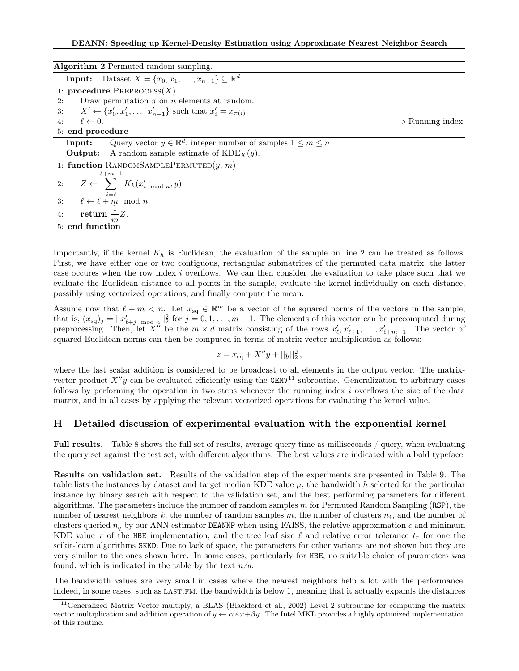<span id="page-19-1"></span>

| <b>Algorithm 2</b> Permuted random sampling.                                              |                                 |
|-------------------------------------------------------------------------------------------|---------------------------------|
| <b>Input:</b> Dataset $X = \{x_0, x_1, \ldots, x_{n-1}\} \subseteq \mathbb{R}^d$          |                                 |
| 1: procedure $P_{REPROCES}(X)$                                                            |                                 |
| Draw permutation $\pi$ on n elements at random.<br>2:                                     |                                 |
| 3: $X' \leftarrow \{x'_0, x'_1, \ldots, x'_{n-1}\}\$ such that $x'_i = x_{\pi(i)}$ .      |                                 |
| $4: \ell \leftarrow 0.$                                                                   | $\triangleright$ Running index. |
| 5: end procedure                                                                          |                                 |
| Query vector $y \in \mathbb{R}^d$ , integer number of samples $1 \leq m \leq n$<br>Input: |                                 |
| <b>Output:</b> A random sample estimate of $KDE_X(y)$ .                                   |                                 |
| 1: function RANDOMSAMPLEPERMUTED $(y, m)$                                                 |                                 |
| $\ell+m-1$                                                                                |                                 |
| 2: $Z \leftarrow \sum K_h(x'_{i \mod n}, y).$                                             |                                 |
| 3: $\ell \leftarrow \ell + m \mod n.$                                                     |                                 |
| 4: $return -Z$ .                                                                          |                                 |
| 5: end function                                                                           |                                 |

Importantly, if the kernel  $K_h$  is Euclidean, the evaluation of the sample on line 2 can be treated as follows. First, we have either one or two contiguous, rectangular submatrices of the permuted data matrix; the latter case occures when the row index i overflows. We can then consider the evaluation to take place such that we evaluate the Euclidean distance to all points in the sample, evaluate the kernel individually on each distance, possibly using vectorized operations, and finally compute the mean.

Assume now that  $\ell + m < n$ . Let  $x_{sq} \in \mathbb{R}^m$  be a vector of the squared norms of the vectors in the sample, that is,  $(x_{sq})_j = ||x'_{\ell+j \mod n}||_2^2$  for  $j = 0, 1, ..., m-1$ . The elements of this vector can be precomputed during preprocessing. Then, let  $X''$  be the  $m \times d$  matrix consisting of the rows  $x'_\ell, x'_{\ell+1}, \ldots, x'_{\ell+m-1}$ . The vector of squared Euclidean norms can then be computed in terms of matrix-vector multiplication as follows:

$$
z = x_{\rm sq} + X''y + ||y||_2^2,
$$

where the last scalar addition is considered to be broadcast to all elements in the output vector. The matrixvector product  $X''y$  can be evaluated efficiently using the GEMV<sup>[11](#page-19-2)</sup> subroutine. Generalization to arbitrary cases follows by performing the operation in two steps whenever the running index  $i$  overflows the size of the data matrix, and in all cases by applying the relevant vectorized operations for evaluating the kernel value.

### <span id="page-19-0"></span>H Detailed discussion of experimental evaluation with the exponential kernel

Full results. Table [8](#page-21-0) shows the full set of results, average query time as milliseconds / query, when evaluating the query set against the test set, with different algorithms. The best values are indicated with a bold typeface.

Results on validation set. Results of the validation step of the experiments are presented in Table [9.](#page-22-1) The table lists the instances by dataset and target median KDE value  $\mu$ , the bandwidth h selected for the particular instance by binary search with respect to the validation set, and the best performing parameters for different algorithms. The parameters include the number of random samples  $m$  for Permuted Random Sampling (RSP), the number of nearest neighbors k, the number of random samples m, the number of clusters  $n_\ell$ , and the number of clusters queried  $n_q$  by our ANN estimator DEANNP when using FAISS, the relative approximation  $\epsilon$  and minimum KDE value  $\tau$  of the HBE implementation, and the tree leaf size  $\ell$  and relative error tolerance  $t_r$  for one the scikit-learn algorithms SKKD. Due to lack of space, the parameters for other variants are not shown but they are very similar to the ones shown here. In some cases, particularly for HBE, no suitable choice of parameters was found, which is indicated in the table by the text  $n/a$ .

The bandwidth values are very small in cases where the nearest neighbors help a lot with the performance. Indeed, in some cases, such as LAST.FM, the bandwidth is below 1, meaning that it actually expands the distances

<span id="page-19-2"></span><sup>&</sup>lt;sup>11</sup>Generalized Matrix Vector multiply, a BLAS [\(Blackford et al., 2002\)](#page-9-13) Level 2 subroutine for computing the matrix vector multiplication and addition operation of  $y \leftarrow \alpha Ax + \beta y$ . The Intel MKL provides a highly optimized implementation of this routine.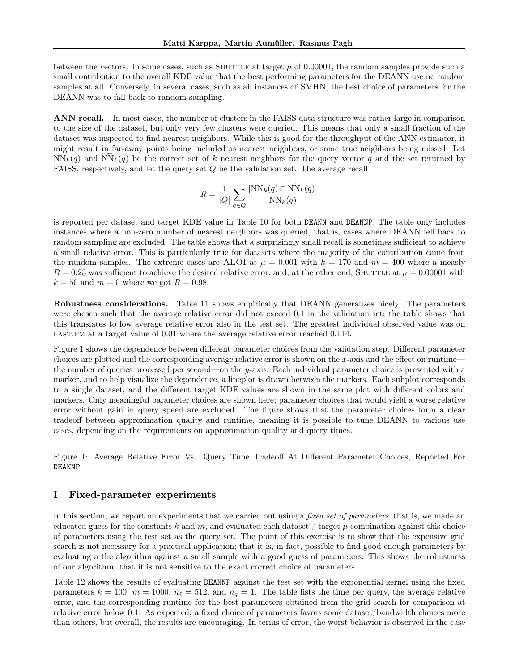between the vectors. In some cases, such as SHUTTLE at target  $\mu$  of 0.00001, the random samples provide such a small contribution to the overall KDE value that the best performing parameters for the DEANN use no random samples at all. Conversely, in several cases, such as all instances of SVHN, the best choice of parameters for the DEANN was to fall back to random sampling.

ANN recall. In most cases, the number of clusters in the FAISS data structure was rather large in comparison to the size of the dataset, but only very few clusters were queried. This means that only a small fraction of the dataset was inspected to find nearest neighbors. While this is good for the throughput of the ANN estimator, it might result in far-away points being included as nearest neighbors, or some true neighbors being missed. Let  $NN_k(q)$  and  $NN_k(q)$  be the correct set of k nearest neighbors for the query vector q and the set returned by FAISS, respectively, and let the query set Q be the validation set. The average recall

$$
R = \frac{1}{|Q|} \sum_{q \in Q} \frac{|\text{NN}_k(q) \cap \text{NN}_k(q)|}{|\text{NN}_k(q)|}
$$

is reported per dataset and target KDE value in Table [10](#page-23-0) for both DEANN and DEANNP. The table only includes instances where a non-zero number of nearest neighbors was queried, that is, cases where DEANN fell back to random sampling are excluded. The table shows that a surprisingly small recall is sometimes sufficient to achieve a small relative error. This is particularly true for datasets where the majority of the contribution came from the random samples. The extreme cases are ALOI at  $\mu = 0.001$  with  $k = 170$  and  $m = 400$  where a measly  $R = 0.23$  was sufficient to achieve the desired relative error, and, at the other end, SHUTTLE at  $\mu = 0.00001$  with  $k = 50$  and  $m = 0$  where we got  $R = 0.98$ .

Robustness considerations. Table [11](#page-24-0) shows empirically that DEANN generalizes nicely. The parameters were chosen such that the average relative error did not exceed 0.1 in the validation set; the table shows that this translates to low average relative error also in the test set. The greatest individual observed value was on LAST.FM at a target value of 0.01 where the average relative error reached 0.114.

Figure [1](#page-20-1) shows the dependence between different parameter choices from the validation step. Different parameter choices are plotted and the corresponding average relative error is shown on the  $x$ -axis and the effect on runtime the number of queries processed per second—on the y-axis. Each individual parameter choice is presented with a marker, and to help visualize the dependence, a lineplot is drawn between the markers. Each subplot corresponds to a single dataset, and the different target KDE values are shown in the same plot with different colors and markers. Only meaningful parameter choices are shown here; parameter choices that would yield a worse relative error without gain in query speed are excluded. The figure shows that the parameter choices form a clear tradeoff between approximation quality and runtime, meaning it is possible to tune DEANN to various use cases, depending on the requirements on approximation quality and query times.

<span id="page-20-1"></span>Figure 1: Average Relative Error Vs. Query Time Tradeoff At Different Parameter Choices, Reported For DEANNP.

#### <span id="page-20-0"></span>I Fixed-parameter experiments

In this section, we report on experiments that we carried out using a fixed set of parameters, that is, we made an educated guess for the constants k and m, and evaluated each dataset / target  $\mu$  combination against this choice of parameters using the test set as the query set. The point of this exercise is to show that the expensive grid search is not necessary for a practical application; that it is, in fact, possible to find good enough parameters by evaluating a the algorithm against a small sample with a good guess of parameters. This shows the robustness of our algorithm: that it is not sensitive to the exact correct choice of parameters.

Table [12](#page-25-1) shows the results of evaluating DEANNP against the test set with the exponential kernel using the fixed parameters  $k = 100$ ,  $m = 1000$ ,  $n_\ell = 512$ , and  $n_q = 1$ . The table lists the time per query, the average relative error, and the corresponding runtime for the best parameters obtained from the grid search for comparison at relative error below 0.1. As expected, a fixed choice of parameters favors some dataset/bandwidth choices more than others, but overall, the results are encouraging. In terms of error, the worst behavior is observed in the case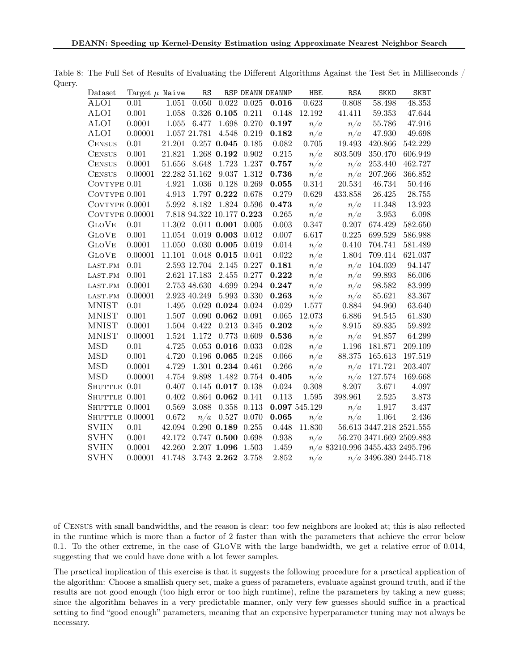<span id="page-21-0"></span>

| Dataset                | Target $\mu$ Naive |        | RS                        |                         |               | RSP DEANN DEANNP | HBE           | RSA                               | <b>SKKD</b>                  | <b>SKBT</b>         |
|------------------------|--------------------|--------|---------------------------|-------------------------|---------------|------------------|---------------|-----------------------------------|------------------------------|---------------------|
| ALOI                   | 0.01               | 1.051  | 0.050                     | 0.022                   | 0.025         | 0.016            | 0.623         | 0.808                             | 58.498                       | $\overline{48.353}$ |
| ALOI                   | 0.001              | 1.058  |                           | $0.326$ 0.105 0.211     |               | 0.148            | 12.192        | 41.411                            | 59.353                       | 47.644              |
| <b>ALOI</b>            | 0.0001             | 1.055  | 6.477                     |                         | 1.698 0.270   | 0.197            | n/a           | n/a                               | 55.786                       | 47.916              |
| <b>ALOI</b>            | 0.00001            |        | 1.057 21.781              |                         | 4.548 0.219   | 0.182            | n/a           | n/a                               | 47.930                       | 49.698              |
| <b>CENSUS</b>          | 0.01               | 21.201 |                           | $0.257$ 0.045 0.185     |               | $\,0.082\,$      | 0.705         | 19.493                            | 420.866                      | 542.229             |
| <b>CENSUS</b>          | 0.001              | 21.821 |                           | $1.268$ 0.192 0.902     |               | $0.215\,$        | n/a           | 803.509                           | 350.470                      | 606.949             |
| <b>CENSUS</b>          | 0.0001             | 51.656 | 8.648                     |                         | 1.723 1.237   | 0.757            | n/a           | n/a                               | 253.440                      | 462.727             |
| <b>CENSUS</b>          | 0.00001            |        | 22.282 51.162             |                         | 9.037 1.312   | 0.736            | n/a           | n/a                               | 207.266                      | 366.852             |
| COVTYPE 0.01           |                    | 4.921  | $1.036\,$                 |                         | $0.128$ 0.269 | $\bf 0.055$      | 0.314         | 20.534                            | 46.734                       | 50.446              |
| COVTYPE 0.001          |                    | 4.913  |                           | 1.797 0.222 0.678       |               | 0.279            | 0.629         | 433.858                           | 26.425                       | 28.755              |
| COVTYPE 0.0001         |                    | 5.992  |                           | 8.182 1.824 0.596       |               | 0.473            | n/a           | n/a                               | 11.348                       | 13.923              |
| COVTYPE $0.00001$      |                    |        | 7.818 94.322 10.177 0.223 |                         |               | 0.265            | n/a           | n/a                               | $3.953\,$                    | 6.098               |
| <b>GLOVE</b>           | 0.01               |        | 11.302 0.011 0.001 0.005  |                         |               | 0.003            | 0.347         | 0.207                             | 674.429                      | 582.650             |
| <b>GLOVE</b>           | 0.001              | 11.054 |                           | $0.019$ 0.003 $0.012$   |               | $0.007\,$        | 6.617         | 0.225                             | 699.529                      | 586.988             |
| <b>GLOVE</b>           | 0.0001             | 11.050 |                           | $0.030$ 0.005 0.019     |               | 0.014            | n/a           | 0.410                             | 704.741                      | 581.489             |
| <b>GLOVE</b>           | 0.00001            | 11.101 |                           | $0.048$ 0.015 0.041     |               | $0.022\,$        | n/a           | 1.804                             | 709.414                      | 621.037             |
| LAST.FM                | $0.01\,$           |        | 2.593 12.704 2.145 0.227  |                         |               | 0.181            | n/a           | n/a                               | 104.039                      | 94.147              |
| LAST.FM                | 0.001              |        | 2.621 17.183              |                         | 2.455 0.277   | 0.222            | n/a           | n/a                               | 99.893                       | 86.006              |
| LAST.FM                | 0.0001             |        | 2.753 48.630              |                         | 4.699 0.294   | 0.247            | n/a           | n/a                               | 98.582                       | 83.999              |
| $_{\rm LAST.FM}$       | 0.00001            |        | 2.923 40.249              |                         | 5.993 0.330   | 0.263            | n/a           | n/a                               | 85.621                       | 83.367              |
| <b>MNIST</b>           | 0.01               | 1.495  |                           | $0.029$ 0.024 0.024     |               | $0.029\,$        | 1.577         | 0.884                             | 94.960                       | 63.640              |
| <b>MNIST</b>           | 0.001              | 1.507  |                           | $0.090$ $0.062$ $0.091$ |               | $0.065\,$        | 12.073        | 6.886                             | 94.545                       | 61.830              |
| <b>MNIST</b>           | 0.0001             | 1.504  | 0.422                     |                         | 0.213 0.345   | 0.202            | n/a           | 8.915                             | 89.835                       | 59.892              |
| $\operatorname{MNIST}$ | 0.00001            | 1.524  | 1.172                     |                         | 0.773 0.609   | $\bf 0.536$      | n/a           | n/a                               | 94.857                       | 64.299              |
| <b>MSD</b>             | $0.01\,$           | 4.725  |                           | $0.053$ 0.016 0.033     |               | 0.028            | n/a           | 1.196                             | 181.871                      | 209.109             |
| MSD                    | 0.001              | 4.720  |                           | $0.196$ 0.065 0.248     |               | 0.066            | n/a           | 88.375                            | 165.613                      | 197.519             |
| <b>MSD</b>             | 0.0001             | 4.729  |                           | 1.301 0.234 0.461       |               | $0.266\,$        | n/a           | n/a                               | 171.721                      | 203.407             |
| <b>MSD</b>             | 0.00001            | 4.754  | 9.898                     | 1.482 0.754             |               | 0.405            | n/a           | n/a                               | 127.574                      | 169.668             |
| SHUTTLE 0.01           |                    | 0.407  |                           | $0.145$ 0.017 0.138     |               | 0.024            | $0.308\,$     | 8.207                             | 3.671                        | 4.097               |
| SHUTTLE 0.001          |                    | 0.402  |                           | $0.864$ 0.062 0.141     |               | $0.113\,$        | 1.595         | 398.961                           | $2.525\,$                    | 3.873               |
| SHUTTLE 0.0001         |                    | 0.569  | 3.088                     |                         | 0.358 0.113   |                  | 0.097 545.129 | n/a                               | 1.917                        | 3.437               |
| SHUTTLE 0.00001        |                    | 0.672  | n/a                       | 0.527 0.070             |               | 0.065            | n/a           | n/a                               | 1.064                        | 2.436               |
| <b>SVHN</b>            | $0.01\,$           | 42.094 |                           | $0.290$ $0.189$ $0.255$ |               | 0.448            | 11.830        |                                   | $56.613\ 3447.218\ 2521.555$ |                     |
| SVHN                   | 0.001              | 42.172 |                           | 0.747 0.500 0.698       |               | 0.938            | n/a           |                                   | 56.270 3471.669 2509.883     |                     |
| SVHN                   | 0.0001             | 42.260 |                           | 2.207 1.096             | 1.503         | 1.459            |               | $n/a$ 83210.996 3455.433 2495.796 |                              |                     |
| SVHN                   | 0.00001            | 41.748 |                           | 3.743 2.262             | 3.758         | 2.852            | n/a           |                                   | $n/a$ 3496.380 2445.718      |                     |

Table 8: The Full Set of Results of Evaluating the Different Algorithms Against the Test Set in Milliseconds / Query.

of Census with small bandwidths, and the reason is clear: too few neighbors are looked at; this is also reflected in the runtime which is more than a factor of 2 faster than with the parameters that achieve the error below 0.1. To the other extreme, in the case of GloVe with the large bandwidth, we get a relative error of 0.014, suggesting that we could have done with a lot fewer samples.

The practical implication of this exercise is that it suggests the following procedure for a practical application of the algorithm: Choose a smallish query set, make a guess of parameters, evaluate against ground truth, and if the results are not good enough (too high error or too high runtime), refine the parameters by taking a new guess; since the algorithm behaves in a very predictable manner, only very few guesses should suffice in a practical setting to find "good enough" parameters, meaning that an expensive hyperparameter tuning may not always be necessary.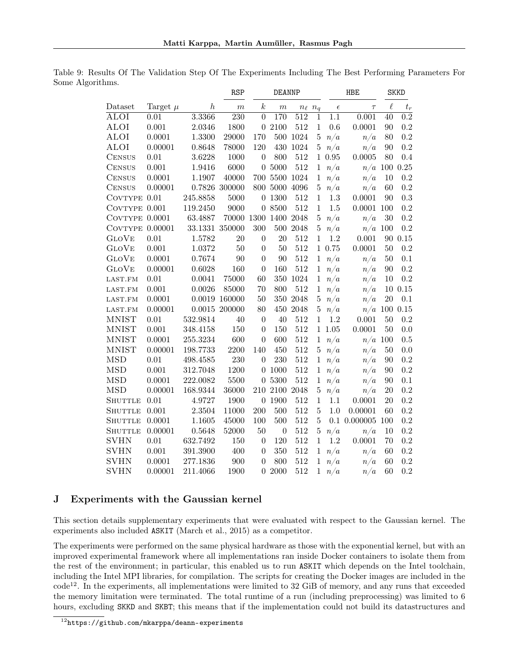<span id="page-22-1"></span>

|                |              |                  | RSP              |                  | <b>DEANNP</b>    |          |                  |            | <b>HBE</b>       |         | <b>SKKD</b>                |
|----------------|--------------|------------------|------------------|------------------|------------------|----------|------------------|------------|------------------|---------|----------------------------|
| Dataset        | Target $\mu$ | $\boldsymbol{h}$ | $\boldsymbol{m}$ | $\boldsymbol{k}$ | $_{m}$           |          | $n_{\ell}$ $n_q$ | $\epsilon$ | $\tau$           | $\ell$  | $t_{\scriptscriptstyle T}$ |
| ALOI           | 0.01         | 3.3366           | 230              | $\theta$         | 170              | 512      | $\mathbf 1$      | 1.1        | 0.001            | 40      | $\overline{0.2}$           |
| ALOI           | 0.001        | 2.0346           | 1800             |                  | 0 2100           | 512      | $\mathbf 1$      | 0.6        | 0.0001           | 90      | 0.2                        |
| <b>ALOI</b>    | 0.0001       | 1.3300           | 29000            | 170              | 500              | 1024     | $\bf 5$          | n/a        | n/a              | 80      | 0.2                        |
| ALOI           | 0.00001      | 0.8648           | 78000            | 120              | 430              | $1024\,$ | 5                | n/a        | n/a              | 90      | 0.2                        |
| <b>CENSUS</b>  | 0.01         | 3.6228           | 1000             | $\overline{0}$   | 800              | 512      | $\mathbf{1}$     | 0.95       | 0.0005           | 80      | 0.4                        |
| <b>CENSUS</b>  | 0.001        | 1.9416           | 6000             |                  | 0 5000           | 512      | $\mathbf 1$      | n/a        | $n/a$ 100        |         | 0.25                       |
| <b>CENSUS</b>  | 0.0001       | 1.1907           | 40000            | 700              | 5500             | 1024     | 1                | n/a        | n/a              | 10      | 0.2                        |
| <b>CENSUS</b>  | 0.00001      |                  | $0.7826$ 300000  | 800              | 5000             | 4096     | $\bf 5$          | n/a        | n/a              | 60      | 0.2                        |
| COVTYPE        | 0.01         | 245.8858         | 5000             | $\overline{0}$   | 1300             | 512      | 1                | 1.3        | 0.0001           | 90      | 0.3                        |
| COVTYPE 0.001  |              | 119.2450         | 9000             |                  | 0 8500           | 512      | $\mathbf{1}$     | 1.5        | 0.0001           | 100     | 0.2                        |
| COVTYPE        | 0.0001       | 63.4887          | 70000            | 1300             | 1400             | 2048     | $\bf 5$          | n/a        | n/a              | 30      | 0.2                        |
| <b>COVTYPE</b> | 0.00001      | 33.1331 350000   |                  | 300              | 500              | 2048     | $\bf 5$          | n/a        | n/a              | 100     | 0.2                        |
| <b>GLOVE</b>   | 0.01         | 1.5782           | 20               | $\boldsymbol{0}$ | 20               | 512      | $\mathbf{1}$     | 1.2        | 0.001            | 90      | 0.15                       |
| <b>GLOVE</b>   | 0.001        | 1.0372           | 50               | $\theta$         | 50               | 512      |                  | 1 0.75     | 0.0001           | 50      | 0.2                        |
| <b>GLOVE</b>   | 0.0001       | 0.7674           | 90               | $\boldsymbol{0}$ | 90               | 512      | $\mathbf{1}$     | n/a        | n/a              | 50      | 0.1                        |
| <b>GLOVE</b>   | 0.00001      | 0.6028           | 160              | $\overline{0}$   | 160              | 512      | $\mathbf{1}$     | n/a        | n/a              | 90      | 0.2                        |
| LAST.FM        | 0.01         | 0.0041           | 75000            | 60               | 350              | 1024     | $\mathbf{1}$     | n/a        | n/a              | 10      | 0.2                        |
| LAST.FM        | 0.001        | 0.0026           | 85000            | 70               | 800              | 512      | $\,1\,$          | n/a        | n/a              | $10\,$  | 0.15                       |
| LAST.FM        | 0.0001       |                  | $0.0019$ 160000  | 50               | 350              | 2048     | $\bf 5$          | n/a        | n/a              | 20      | 0.1                        |
| LAST.FM        | 0.00001      |                  | $0.0015$ 200000  | 80               | 450              | 2048     | $\rm 5$          | n/a        | n/a              | $100\,$ | 0.15                       |
| <b>MNIST</b>   | 0.01         | 532.9814         | 40               | $\theta$         | 40               | 512      | $\mathbf{1}$     | 1.2        | 0.001            | 50      | 0.2                        |
| <b>MNIST</b>   | 0.001        | 348.4158         | 150              | $\boldsymbol{0}$ | 150              | 512      | $\mathbf 1$      | 1.05       | 0.0001           | 50      | 0.0                        |
| <b>MNIST</b>   | 0.0001       | 255.3234         | 600              | $\boldsymbol{0}$ | 600              | 512      | $\mathbf{1}$     | n/a        | n/a              | 100     | 0.5                        |
| <b>MNIST</b>   | 0.00001      | 198.7733         | 2200             | 140              | 450              | 512      | 5                | n/a        | n/a              | 50      | 0.0                        |
| <b>MSD</b>     | 0.01         | 498.4585         | 230              | $\overline{0}$   | 230              | 512      | $\mathbf{1}$     | n/a        | n/a              | 90      | 0.2                        |
| <b>MSD</b>     | 0.001        | 312.7048         | 1200             | $\theta$         | 1000             | 512      | $\mathbf 1$      | n/a        | n/a              | 90      | 0.2                        |
| MSD            | 0.0001       | 222.0082         | 5500             | 0                | 5300             | 512      | 1                | n/a        | n/a              | 90      | 0.1                        |
| <b>MSD</b>     | 0.00001      | 168.9344         | 36000            | 210              | 2100             | 2048     | $\bf 5$          | n/a        | n/a              | 20      | 0.2                        |
| <b>SHUTTLE</b> | 0.01         | 4.9727           | 1900             | $\theta$         | 1900             | 512      | 1                | 1.1        | 0.0001           | 20      | 0.2                        |
| <b>SHUTTLE</b> | 0.001        | 2.3504           | 11000            | 200              | 500              | 512      | $\overline{5}$   | 1.0        | 0.00001          | 60      | 0.2                        |
| <b>SHUTTLE</b> | 0.0001       | 1.1605           | 45000            | 100              | 500              | 512      | 5                |            | $0.1$ $0.000005$ | 100     | 0.2                        |
| SHUTTLE        | 0.00001      | 0.5648           | 52000            | 50               | $\boldsymbol{0}$ | 512      | 5                | n/a        | n/a              | 10      | 0.2                        |
| <b>SVHN</b>    | 0.01         | 632.7492         | 150              | $\boldsymbol{0}$ | 120              | 512      | $\mathbf 1$      | 1.2        | 0.0001           | 70      | 0.2                        |
| SVHN           | 0.001        | 391.3900         | 400              | $\theta$         | 350              | 512      | 1                | n/a        | n/a              | 60      | 0.2                        |
| SVHN           | 0.0001       | 277.1836         | 900              | $\overline{0}$   | 800              | 512      | 1                | n/a        | n/a              | 60      | 0.2                        |
| <b>SVHN</b>    | 0.00001      | 211.4066         | 1900             | $\theta$         | 2000             | 512      | 1                | n/a        | n/a              | 60      | 0.2                        |

Table 9: Results Of The Validation Step Of The Experiments Including The Best Performing Parameters For Some Algorithms.

# <span id="page-22-0"></span>J Experiments with the Gaussian kernel

This section details supplementary experiments that were evaluated with respect to the Gaussian kernel. The experiments also included ASKIT [\(March et al., 2015\)](#page-11-4) as a competitor.

The experiments were performed on the same physical hardware as those with the exponential kernel, but with an improved experimental framework where all implementations ran inside Docker containers to isolate them from the rest of the environment; in particular, this enabled us to run ASKIT which depends on the Intel toolchain, including the Intel MPI libraries, for compilation. The scripts for creating the Docker images are included in the code[12](#page-22-2). In the experiments, all implementations were limited to 32 GiB of memory, and any runs that exceeded the memory limitation were terminated. The total runtime of a run (including preprocessing) was limited to 6 hours, excluding SKKD and SKBT; this means that if the implementation could not build its datastructures and

<span id="page-22-2"></span><sup>12</sup><https://github.com/mkarppa/deann-experiments>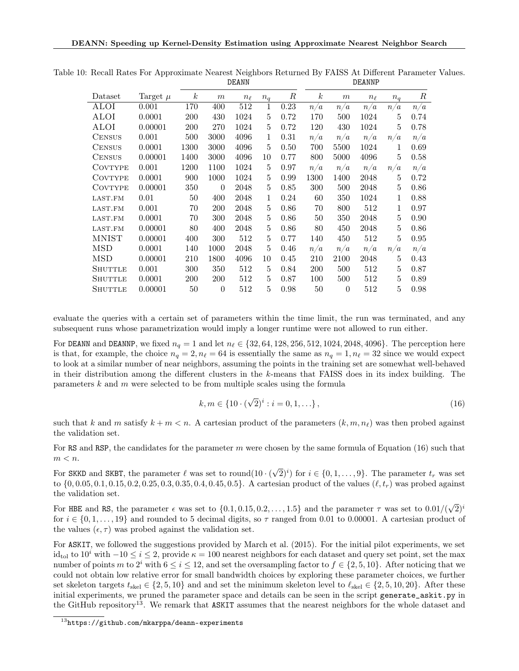<span id="page-23-0"></span>

|                |              |                  |                  | <b>DEUILI</b> |              |            | <b>DEUIST</b>    |          |            |       |      |  |
|----------------|--------------|------------------|------------------|---------------|--------------|------------|------------------|----------|------------|-------|------|--|
| Dataset        | Target $\mu$ | $\boldsymbol{k}$ | $\,m$            | $n_{\ell}$    | $n_q$        | $_{\it R}$ | $\boldsymbol{k}$ | m        | $n_{\ell}$ | $n_q$ | R    |  |
| <b>ALOI</b>    | 0.001        | 170              | 400              | 512           | $\mathbf{1}$ | 0.23       | n/a              | n/a      | n/a        | n/a   | n/a  |  |
| ALOI           | 0.0001       | 200              | 430              | 1024          | 5            | 0.72       | 170              | 500      | 1024       | 5     | 0.74 |  |
| ALOI           | 0.00001      | 200              | 270              | 1024          | 5            | 0.72       | 120              | 430      | 1024       | 5     | 0.78 |  |
| <b>CENSUS</b>  | 0.001        | 500              | 3000             | 4096          | 1            | 0.31       | n/a              | n/a      | n/a        | n/a   | n/a  |  |
| <b>CENSUS</b>  | 0.0001       | 1300             | 3000             | 4096          | 5            | 0.50       | 700              | 5500     | 1024       | 1     | 0.69 |  |
| <b>CENSUS</b>  | 0.00001      | 1400             | 3000             | 4096          | 10           | 0.77       | 800              | 5000     | 4096       | 5     | 0.58 |  |
| <b>COVTYPE</b> | 0.001        | 1200             | 1100             | 1024          | 5            | 0.97       | n/a              | n/a      | n/a        | n/a   | n/a  |  |
| <b>COVTYPE</b> | 0.0001       | 900              | 1000             | 1024          | 5            | 0.99       | 1300             | 1400     | 2048       | 5     | 0.72 |  |
| <b>COVTYPE</b> | 0.00001      | 350              | $\boldsymbol{0}$ | 2048          | 5            | 0.85       | 300              | 500      | 2048       | 5     | 0.86 |  |
| LAST.FM        | 0.01         | 50               | 400              | 2048          | 1            | 0.24       | 60               | 350      | 1024       | 1     | 0.88 |  |
| LAST.FM        | 0.001        | 70               | 200              | 2048          | 5            | 0.86       | 70               | 800      | 512        | 1     | 0.97 |  |
| LAST.FM        | 0.0001       | 70               | 300              | 2048          | 5            | 0.86       | 50               | 350      | 2048       | 5     | 0.90 |  |
| LAST.FM        | 0.00001      | 80               | 400              | 2048          | 5            | 0.86       | 80               | 450      | 2048       | 5     | 0.86 |  |
| MNIST          | 0.00001      | 400              | 300              | 512           | 5            | 0.77       | 140              | 450      | 512        | 5     | 0.95 |  |
| <b>MSD</b>     | 0.0001       | 140              | 1000             | 2048          | 5            | 0.46       | n/a              | n/a      | n/a        | n/a   | n/a  |  |
| MSD            | 0.00001      | 210              | 1800             | 4096          | 10           | 0.45       | 210              | 2100     | 2048       | 5     | 0.43 |  |
| <b>SHUTTLE</b> | 0.001        | 300              | 350              | 512           | 5            | 0.84       | <b>200</b>       | 500      | 512        | 5     | 0.87 |  |
| <b>SHUTTLE</b> | 0.0001       | 200              | <b>200</b>       | 512           | 5            | 0.87       | 100              | 500      | 512        | 5     | 0.89 |  |
| SHUTTLE        | 0.00001      | 50               | $\theta$         | 512           | 5            | 0.98       | 50               | $\theta$ | 512        | 5     | 0.98 |  |

Table 10: Recall Rates For Approximate Nearest Neighbors Returned By FAISS At Different Parameter Values. DEANN DEANNP

evaluate the queries with a certain set of parameters within the time limit, the run was terminated, and any subsequent runs whose parametrization would imply a longer runtime were not allowed to run either.

For DEANN and DEANNP, we fixed  $n_q = 1$  and let  $n_\ell \in \{32, 64, 128, 256, 512, 1024, 2048, 4096\}$ . The perception here is that, for example, the choice  $n_q = 2, n_\ell = 64$  is essentially the same as  $n_q = 1, n_\ell = 32$  since we would expect to look at a similar number of near neighbors, assuming the points in the training set are somewhat well-behaved in their distribution among the different clusters in the k-means that FAISS does in its index building. The parameters  $k$  and  $m$  were selected to be from multiple scales using the formula

<span id="page-23-1"></span>
$$
k, m \in \{10 \cdot (\sqrt{2})^i : i = 0, 1, \ldots\},\tag{16}
$$

such that k and m satisfy  $k + m < n$ . A cartesian product of the parameters  $(k, m, n_\ell)$  was then probed against the validation set.

For RS and RSP, the candidates for the parameter m were chosen by the same formula of Equation [\(16\)](#page-23-1) such that  $m < n$ .

For SKKD and SKBT, the parameter  $\ell$  was set to round(10  $\cdot$  (  $(\sqrt{2})^i$  for  $i \in \{0, 1, ..., 9\}$ . The parameter  $t_r$  was set to  $\{0, 0.05, 0.1, 0.15, 0.2, 0.25, 0.3, 0.35, 0.4, 0.45, 0.5\}$ . A cartesian product of the values  $(\ell, t_r)$  was probed against the validation set.

For HBE and RS, the parameter  $\epsilon$  was set to  $\{0.1, 0.15, 0.2, \ldots, 1.5\}$  and the parameter  $\tau$  was set to  $0.01/($  $\sqrt{2}$ <sup>i</sup> for  $i \in \{0, 1, \ldots, 19\}$  and rounded to 5 decimal digits, so  $\tau$  ranged from 0.01 to 0.00001. A cartesian product of the values  $(\epsilon, \tau)$  was probed against the validation set.

For ASKIT, we followed the suggestions provided by [March et al.](#page-11-4) [\(2015\)](#page-11-4). For the initial pilot experiments, we set  $id_{\text{tol}}$  to  $10^i$  with  $-10 \le i \le 2$ , provide  $\kappa = 100$  nearest neighbors for each dataset and query set point, set the max number of points m to 2<sup>*i*</sup> with  $6 \le i \le 12$ , and set the oversampling factor to  $f \in \{2, 5, 10\}$ . After noticing that we could not obtain low relative error for small bandwidth choices by exploring these parameter choices, we further set skeleton targets  $t_{\text{skel}} \in \{2, 5, 10\}$  and and set the minimum skeleton level to  $\ell_{\text{skel}} \in \{2, 5, 10, 20\}$ . After these initial experiments, we pruned the parameter space and details can be seen in the script generate\_askit.py in the GitHub repository<sup>[13](#page-23-2)</sup>. We remark that ASKIT assumes that the nearest neighbors for the whole dataset and

<span id="page-23-2"></span><sup>13</sup><https://github.com/mkarppa/deann-experiments>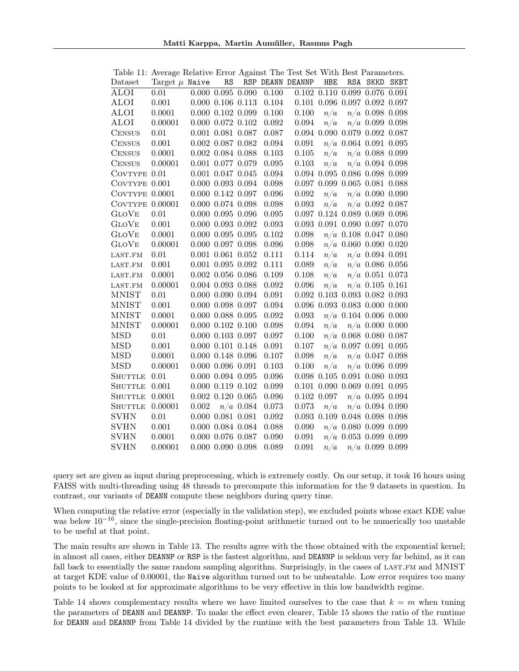|                 | Table 11: Average Relative Error Against The Test Set With Best Parameters. |                         |    |             |       |                  |            |     |                                         |             |
|-----------------|-----------------------------------------------------------------------------|-------------------------|----|-------------|-------|------------------|------------|-----|-----------------------------------------|-------------|
| Dataset         | Target $\mu$ Naive                                                          |                         | RS |             |       | RSP DEANN DEANNP | <b>HBE</b> | RSA | <b>SKKD</b>                             | <b>SKBT</b> |
| ALOI            | 0.01                                                                        | $0.000$ $0.095$ $0.090$ |    |             | 0.100 |                  |            |     | $0.102$ $0.110$ $0.099$ $0.076$ $0.091$ |             |
| ALOI            | 0.001                                                                       | $0.000$ $0.106$ $0.113$ |    |             | 0.104 |                  |            |     | $0.101$ $0.096$ $0.097$ $0.092$ $0.097$ |             |
| ALOI            | 0.0001                                                                      | $0.000$ $0.102$ $0.099$ |    |             | 0.100 | 0.100            | n/a        |     | $n/a$ 0.098 0.098                       |             |
| ALOI            | 0.00001                                                                     | $0.000$ $0.072$ $0.102$ |    |             | 0.092 | 0.094            | n/a        |     | $n/a$ 0.099 0.098                       |             |
| <b>CENSUS</b>   | 0.01                                                                        | $0.001$ $0.081$ $0.087$ |    |             | 0.087 |                  |            |     | $0.094$ $0.090$ $0.079$ $0.092$ $0.087$ |             |
| <b>CENSUS</b>   | 0.001                                                                       | $0.002$ $0.087$ $0.082$ |    |             | 0.094 | 0.091            |            |     | $n/a$ 0.064 0.091 0.095                 |             |
| <b>CENSUS</b>   | 0.0001                                                                      | $0.002$ $0.084$ $0.088$ |    |             | 0.103 | 0.105            | n/a        |     | $n/a$ 0.088 0.099                       |             |
| <b>CENSUS</b>   | 0.00001                                                                     | $0.001$ $0.077$ $0.079$ |    |             | 0.095 | 0.103            | n/a        |     | $n/a$ 0.094 0.098                       |             |
| COVTYPE 0.01    |                                                                             | $0.001$ $0.047$ $0.045$ |    |             | 0.094 |                  |            |     | $0.094$ $0.095$ $0.086$ $0.098$ $0.099$ |             |
| COVTYPE 0.001   |                                                                             | $0.000$ $0.093$ $0.094$ |    |             | 0.098 |                  |            |     | $0.097$ $0.099$ $0.065$ $0.081$ $0.088$ |             |
| COVTYPE 0.0001  |                                                                             | $0.000$ $0.142$ $0.097$ |    |             | 0.096 | 0.092            | n/a        |     | $n/a$ 0.090 0.090                       |             |
| COVTYPE 0.00001 |                                                                             | $0.000$ $0.074$ $0.098$ |    |             | 0.098 | 0.093            | n/a        |     | $n/a$ 0.092 0.087                       |             |
| <b>GLOVE</b>    | 0.01                                                                        | $0.000$ $0.095$ $0.096$ |    |             | 0.095 |                  |            |     | 0.097 0.124 0.089 0.069 0.096           |             |
| <b>GLOVE</b>    | $0.001\,$                                                                   | $0.000$ $0.093$ $0.092$ |    |             | 0.093 |                  |            |     | $0.093$ $0.091$ $0.090$ $0.097$ $0.070$ |             |
| <b>GLOVE</b>    | 0.0001                                                                      | $0.000$ $0.095$ $0.095$ |    |             | 0.102 | 0.098            |            |     | $n/a$ 0.108 0.047 0.080                 |             |
| <b>GLOVE</b>    | 0.00001                                                                     | $0.000$ $0.097$ $0.098$ |    |             | 0.096 | 0.098            |            |     | $n/a$ 0.060 0.090 0.020                 |             |
| LAST.FM         | 0.01                                                                        | $0.001$ $0.061$ $0.052$ |    |             | 0.111 | 0.114            | n/a        |     | $n/a$ 0.094 0.091                       |             |
| LAST.FM         | $0.001\,$                                                                   | $0.001$ $0.095$ $0.092$ |    |             | 0.111 | 0.089            | n/a        |     | $n/a$ 0.086 0.056                       |             |
| LAST.FM         | 0.0001                                                                      | $0.002$ $0.056$ $0.086$ |    |             | 0.109 | 0.108            | n/a        |     | $n/a$ 0.051 0.073                       |             |
| LAST.FM         | 0.00001                                                                     | $0.004$ $0.093$ $0.088$ |    |             | 0.092 | 0.096            | n/a        |     | $n/a$ 0.105 0.161                       |             |
| <b>MNIST</b>    | 0.01                                                                        | $0.000$ $0.090$ $0.094$ |    |             | 0.091 |                  |            |     | $0.092$ $0.103$ $0.093$ $0.082$ $0.093$ |             |
| <b>MNIST</b>    | 0.001                                                                       | $0.000$ $0.098$ $0.097$ |    |             | 0.094 |                  |            |     | $0.096$ $0.093$ $0.083$ $0.000$ $0.000$ |             |
| <b>MNIST</b>    | 0.0001                                                                      | $0.000$ $0.088$ $0.095$ |    |             | 0.092 | 0.093            |            |     | $n/a$ 0.104 0.006 0.000                 |             |
| <b>MNIST</b>    | 0.00001                                                                     | $0.000$ $0.102$ $0.100$ |    |             | 0.098 | 0.094            | n/a        |     | $n/a$ 0.000 0.000                       |             |
| <b>MSD</b>      | 0.01                                                                        | $0.000$ $0.103$ $0.097$ |    |             | 0.097 | 0.100            |            |     | $n/a$ 0.068 0.080 0.087                 |             |
| <b>MSD</b>      | 0.001                                                                       | $0.000$ $0.101$ $0.148$ |    |             | 0.091 | 0.107            |            |     | $n/a$ 0.097 0.091 0.095                 |             |
| <b>MSD</b>      | 0.0001                                                                      | $0.000$ $0.148$ $0.096$ |    |             | 0.107 | 0.098            | n/a        |     | $n/a$ 0.047 0.098                       |             |
| MSD             | 0.00001                                                                     | $0.000$ $0.096$ $0.091$ |    |             | 0.103 | 0.100            | n/a        |     | $n/a$ 0.096 0.099                       |             |
| <b>SHUTTLE</b>  | 0.01                                                                        | $0.000$ $0.094$ $0.095$ |    |             | 0.096 |                  |            |     | $0.098$ $0.105$ $0.091$ $0.080$ $0.093$ |             |
| <b>SHUTTLE</b>  | 0.001                                                                       | $0.000$ $0.119$ $0.102$ |    |             | 0.099 |                  |            |     | $0.101$ $0.090$ $0.069$ $0.091$ $0.095$ |             |
| <b>SHUTTLE</b>  | 0.0001                                                                      | $0.002$ $0.120$ $0.065$ |    |             | 0.096 | $0.102$ 0.097    |            |     | $n/a$ 0.095 0.094                       |             |
| <b>SHUTTLE</b>  | 0.00001                                                                     | 0.002                   |    | $n/a$ 0.084 | 0.073 | 0.073            | n/a        |     | $n/a$ 0.094 0.090                       |             |
| <b>SVHN</b>     | 0.01                                                                        | $0.000$ $0.081$ $0.081$ |    |             | 0.092 |                  |            |     | 0.093 0.109 0.048 0.098 0.098           |             |
| <b>SVHN</b>     | 0.001                                                                       | $0.000$ $0.084$ $0.084$ |    |             | 0.088 | 0.090            |            |     | $n/a$ 0.080 0.099 0.099                 |             |
| <b>SVHN</b>     | 0.0001                                                                      | $0.000$ $0.076$ $0.087$ |    |             | 0.090 | 0.091            |            |     | $n/a$ 0.053 0.099 0.099                 |             |
| <b>SVHN</b>     | 0.00001                                                                     | $0.000$ $0.090$ $0.098$ |    |             | 0.089 | 0.091            | n/a        |     | $n/a$ 0.099 0.099                       |             |

<span id="page-24-0"></span>Table 11: Average Relative Error Against The Test Set With Best Parameters.

query set are given as input during preprocessing, which is extremely costly. On our setup, it took 16 hours using FAISS with multi-threading using 48 threads to precompute this information for the 9 datasets in question. In contrast, our variants of DEANN compute these neighbors during query time.

When computing the relative error (especially in the validation step), we excluded points whose exact KDE value was below  $10^{-16}$ , since the single-precision floating-point arithmetic turned out to be numerically too unstable to be useful at that point.

The main results are shown in Table [13.](#page-26-0) The results agree with the those obtained with the exponential kernel; in almost all cases, either DEANNP or RSP is the fastest algorithm, and DEANNP is seldom very far behind, as it can fall back to essentially the same random sampling algorithm. Surprisingly, in the cases of LAST.FM and MNIST at target KDE value of 0.00001, the Naive algorithm turned out to be unbeatable. Low error requires too many points to be looked at for approximate algorithms to be very effective in this low bandwidth regime.

Table [14](#page-27-0) shows complementary results where we have limited ourselves to the case that  $k = m$  when tuning the parameters of DEANN and DEANNP. To make the effect even clearer, Table [15](#page-28-0) shows the ratio of the runtime for DEANN and DEANNP from Table [14](#page-27-0) divided by the runtime with the best parameters from Table [13.](#page-26-0) While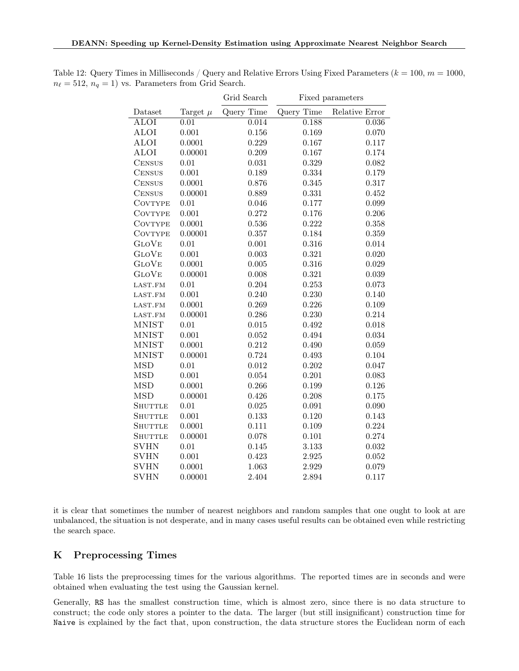|                |              | Grid Search | Fixed parameters |                |  |
|----------------|--------------|-------------|------------------|----------------|--|
| Dataset        | Target $\mu$ | Query Time  | Query Time       | Relative Error |  |
| <b>ALOI</b>    | 0.01         | 0.014       | 0.188            | $\,0.036\,$    |  |
| <b>ALOI</b>    | 0.001        | 0.156       | 0.169            | 0.070          |  |
| <b>ALOI</b>    | 0.0001       | 0.229       | 0.167            | 0.117          |  |
| <b>ALOI</b>    | 0.00001      | 0.209       | 0.167            | 0.174          |  |
| <b>CENSUS</b>  | 0.01         | 0.031       | 0.329            | 0.082          |  |
| <b>CENSUS</b>  | 0.001        | 0.189       | 0.334            | 0.179          |  |
| <b>CENSUS</b>  | 0.0001       | 0.876       | 0.345            | 0.317          |  |
| <b>CENSUS</b>  | 0.00001      | 0.889       | 0.331            | 0.452          |  |
| <b>COVTYPE</b> | 0.01         | 0.046       | 0.177            | 0.099          |  |
| <b>COVTYPE</b> | 0.001        | 0.272       | 0.176            | 0.206          |  |
| <b>COVTYPE</b> | 0.0001       | 0.536       | 0.222            | 0.358          |  |
| <b>COVTYPE</b> | 0.00001      | 0.357       | 0.184            | 0.359          |  |
| <b>GLOVE</b>   | 0.01         | 0.001       | 0.316            | 0.014          |  |
| <b>GLOVE</b>   | 0.001        | 0.003       | 0.321            | 0.020          |  |
| <b>GLOVE</b>   | 0.0001       | 0.005       | 0.316            | 0.029          |  |
| <b>GLOVE</b>   | 0.00001      | 0.008       | 0.321            | 0.039          |  |
| LAST.FM        | 0.01         | 0.204       | 0.253            | 0.073          |  |
| LAST.FM        | 0.001        | 0.240       | 0.230            | 0.140          |  |
| LAST.FM        | 0.0001       | 0.269       | 0.226            | 0.109          |  |
| LAST.FM        | 0.00001      | 0.286       | 0.230            | 0.214          |  |
| <b>MNIST</b>   | 0.01         | 0.015       | 0.492            | 0.018          |  |
| <b>MNIST</b>   | 0.001        | 0.052       | 0.494            | 0.034          |  |
| <b>MNIST</b>   | 0.0001       | 0.212       | 0.490            | 0.059          |  |
| <b>MNIST</b>   | 0.00001      | 0.724       | 0.493            | 0.104          |  |
| <b>MSD</b>     | 0.01         | 0.012       | 0.202            | 0.047          |  |
| <b>MSD</b>     | 0.001        | 0.054       | 0.201            | 0.083          |  |
| <b>MSD</b>     | 0.0001       | 0.266       | 0.199            | 0.126          |  |
| <b>MSD</b>     | 0.00001      | 0.426       | 0.208            | 0.175          |  |
| <b>SHUTTLE</b> | 0.01         | 0.025       | 0.091            | 0.090          |  |
| <b>SHUTTLE</b> | 0.001        | 0.133       | 0.120            | 0.143          |  |
| <b>SHUTTLE</b> | 0.0001       | 0.111       | 0.109            | 0.224          |  |
| <b>SHUTTLE</b> | 0.00001      | 0.078       | 0.101            | 0.274          |  |
| <b>SVHN</b>    | 0.01         | 0.145       | 3.133            | 0.032          |  |
| <b>SVHN</b>    | 0.001        | 0.423       | 2.925            | 0.052          |  |
| <b>SVHN</b>    | 0.0001       | 1.063       | 2.929            | 0.079          |  |
| <b>SVHN</b>    | 0.00001      | 2.404       | 2.894            | 0.117          |  |

<span id="page-25-1"></span>Table 12: Query Times in Milliseconds / Query and Relative Errors Using Fixed Parameters ( $k = 100, m = 1000$ ,  $n_{\ell} = 512, n_q = 1$ ) vs. Parameters from Grid Search.

it is clear that sometimes the number of nearest neighbors and random samples that one ought to look at are unbalanced, the situation is not desperate, and in many cases useful results can be obtained even while restricting the search space.

## <span id="page-25-0"></span>K Preprocessing Times

Table [16](#page-29-0) lists the preprocessing times for the various algorithms. The reported times are in seconds and were obtained when evaluating the test using the Gaussian kernel.

Generally, RS has the smallest construction time, which is almost zero, since there is no data structure to construct; the code only stores a pointer to the data. The larger (but still insignificant) construction time for Naive is explained by the fact that, upon construction, the data structure stores the Euclidean norm of each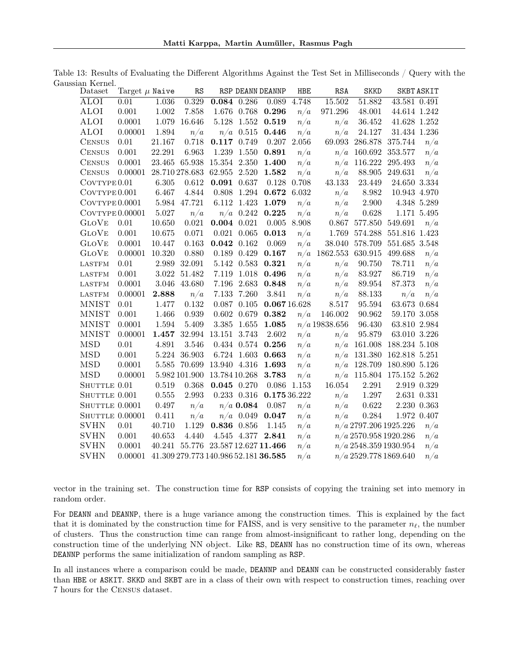<span id="page-26-0"></span>

| Dataset             | Target $\mu$ Naive |           | RS             |                                      |                 | RSP DEANN DEANNP  | <b>HBE</b> | RSA             | <b>SKKD</b> |                             | <b>SKBT ASKIT</b> |
|---------------------|--------------------|-----------|----------------|--------------------------------------|-----------------|-------------------|------------|-----------------|-------------|-----------------------------|-------------------|
| ALOI                | 0.01               | $1.036\,$ | $0.329\,$      | 0.084 0.286                          |                 | 0.089             | 4.748      | 15.502          | 51.882      | 43.581 0.491                |                   |
| <b>ALOI</b>         | 0.001              | $1.002\,$ | 7.858          |                                      | 1.676 0.768     | 0.296             | n/a        | 971.296         | 48.001      | 44.614 1.242                |                   |
| ALOI                | 0.0001             | 1.079     | 16.646         | 5.128                                | 1.552           | 0.519             | n/a        | n/a             | 36.452      | $41.628\; \; 1.252$         |                   |
| ALOI                | 0.00001            | 1.894     | n/a            |                                      | $n/a$ 0.515     | 0.446             | n/a        | n/a             | 24.127      | 31.434 1.236                |                   |
| <b>CENSUS</b>       | 0.01               | 21.167    | 0.718          | 0.117 0.749                          |                 | 0.207             | 2.056      | 69.093          | 286.878     | 375.744                     | n/a               |
| <b>CENSUS</b>       | 0.001              | 22.291    | 6.963          | 1.239                                | 1.550           | 0.891             | n/a        | n/a             | 160.692     | 353.577                     | n/a               |
| <b>CENSUS</b>       | 0.0001             |           |                | 23.465 65.938 15.354 2.350           |                 | 1.400             | n/a        | n/a             | 116.222     | 295.493                     | n/a               |
| <b>CENSUS</b>       | 0.00001            |           | 28.710 278.683 | 62.955 2.520                         |                 | 1.582             | n/a        | n/a             | 88.905      | 249.631                     | n/a               |
| CovType 0.01        |                    | 6.305     | 0.612          | 0.091 0.637                          |                 | 0.128             | 0.708      | 43.133          | 23.449      | 24.650 3.334                |                   |
| COVTYPE 0.001       |                    | 6.467     | 4.844          |                                      | $0.808$ 1.294   | 0.672             | 6.032      | n/a             | 8.982       | 10.943 4.970                |                   |
| $Cov$ TYPE $0.0001$ |                    |           | 5.984 47.721   |                                      | 6.112 1.423     | 1.079             | n/a        | n/a             | 2.900       | 4.348 5.289                 |                   |
| COVTYPE 0.00001     |                    | $5.027\,$ | n/a            |                                      | $n/a$ 0.242     | 0.225             | n/a        | n/a             | 0.628       | 1.171 5.495                 |                   |
| <b>GLOVE</b>        | 0.01               | 10.650    | 0.021          | $0.004$ $0.021$                      |                 | 0.005             | 8.908      | 0.867           |             | 577.850 549.691             | n/a               |
| <b>GLOVE</b>        | 0.001              | 10.675    | 0.071          |                                      | $0.021$ $0.065$ | 0.013             | n/a        | 1.769           | 574.288     | 551.816 1.423               |                   |
| <b>GLOVE</b>        | 0.0001             | 10.447    | 0.163          | 0.042                                | 0.162           | 0.069             | n/a        | 38.040          | 578.709     | 551.685 3.548               |                   |
| <b>GLOVE</b>        | 0.00001            | 10.320    | 0.880          |                                      | 0.189 0.429     | 0.167             |            | $n/a$ 1862.553  | 630.915     | 499.688                     | n/a               |
| <b>LASTFM</b>       | 0.01               | 2.989     | 32.091         |                                      | 5.142 0.583     | 0.321             | n/a        | n/a             | 90.750      | 78.711                      | n/a               |
| <b>LASTFM</b>       | 0.001              | 3.022     | 51.482         | 7.119                                | 1.018           | 0.496             | n/a        | n/a             | 83.927      | 86.719                      | n/a               |
| <b>LASTFM</b>       | 0.0001             |           | 3.046 43.680   | $7.196\,$                            | 2.683           | 0.848             | n/a        | n/a             | 89.954      | 87.373                      | n/a               |
| <b>LASTFM</b>       | 0.00001            | 2.888     | n/a            | 7.133                                | 7.260           | 3.841             | n/a        | n/a             | 88.133      | n/a                         | n/a               |
| <b>MNIST</b>        | 0.01               | 1.477     | 0.132          |                                      | 0.087 0.105     | 0.06716.628       |            | 8.517           | 95.594      | 63.673 0.684                |                   |
| <b>MNIST</b>        | 0.001              | 1.466     | 0.939          | 0.602                                | 0.679           | 0.382             | n/a        | 146.002         | 90.962      | 59.170 3.058                |                   |
| <b>MNIST</b>        | 0.0001             | 1.594     | 5.409          | 3.385                                | 1.655           | 1.085             |            | $n/a$ 19838.656 | 96.430      | 63.810 2.984                |                   |
| <b>MNIST</b>        | 0.00001            | 1.457     |                | 32.994 13.151                        | 3.743           | 2.602             | n/a        | n/a             | 95.879      | 63.010 3.226                |                   |
| <b>MSD</b>          | 0.01               | 4.891     | 3.546          |                                      | 0.434 0.574     | 0.256             | n/a        | n/a             | 161.008     | 188.234 5.108               |                   |
| <b>MSD</b>          | 0.001              |           | 5.224 36.903   |                                      | 6.724 1.603     | 0.663             | n/a        | n/a             | 131.380     | 162.818 5.251               |                   |
| <b>MSD</b>          | 0.0001             |           |                | 5.585 70.699 13.940 4.316            |                 | 1.693             | n/a        | n/a             |             | 128.709 180.890 5.126       |                   |
| <b>MSD</b>          | 0.00001            |           |                | 5.982 101.900 13.784 10.268          |                 | 3.783             | n/a        |                 |             | $n/a$ 115.804 175.152 5.262 |                   |
| SHUTTLE 0.01        |                    | 0.519     | 0.368          | 0.045 0.270                          |                 | 0.086             | 1.153      | 16.054          | 2.291       | 2.919 0.329                 |                   |
| SHUTTLE 0.001       |                    | $0.555\,$ | 2.993          |                                      | $0.233$ $0.316$ | 0.175 36.222      |            | n/a             | 1.297       | 2.631 0.331                 |                   |
| SHUTTLE 0.0001      |                    | $0.497\,$ | n/a            |                                      | $n/a$ 0.084     | 0.087             | n/a        | n/a             | 0.622       | 2.230 0.363                 |                   |
| SHUTTLE 0.00001     |                    | 0.411     | n/a            |                                      | $n/a$ 0.049     | $\,0.047\,$       | n/a        | n/a             | 0.284       | 1.972 0.407                 |                   |
| <b>SVHN</b>         | 0.01               | 40.710    | 1.129          | 0.836 0.856                          |                 | 1.145             | n/a        |                 |             | $n/a$ 2797.206 1925.226     | n/a               |
| <b>SVHN</b>         | 0.001              | 40.653    | 4.440          |                                      |                 | 4.545 4.377 2.841 | n/a        |                 |             | $n/a$ 2570.958 1920.286     | n/a               |
| <b>SVHN</b>         | 0.0001             | 40.241    |                | 55.776 23.587 12.627 11.466          |                 |                   | n/a        |                 |             | $n/a$ 2548.359 1930.954     | n/a               |
| <b>SVHN</b>         | 0.00001            |           |                | 41.309 279.773 140.986 52.181 36.585 |                 |                   | n/a        |                 |             | $n/a$ 2529.778 1869.640     | n/a               |

Table 13: Results of Evaluating the Different Algorithms Against the Test Set in Milliseconds / Query with the Gaussian Kernel.

vector in the training set. The construction time for RSP consists of copying the training set into memory in random order.

For DEANN and DEANNP, there is a huge variance among the construction times. This is explained by the fact that it is dominated by the construction time for FAISS, and is very sensitive to the parameter  $n_\ell$ , the number of clusters. Thus the construction time can range from almost-insignificant to rather long, depending on the construction time of the underlying NN object. Like RS, DEANN has no construction time of its own, whereas DEANNP performs the same initialization of random sampling as RSP.

In all instances where a comparison could be made, DEANNP and DEANN can be constructed considerably faster than HBE or ASKIT. SKKD and SKBT are in a class of their own with respect to construction times, reaching over 7 hours for the Census dataset.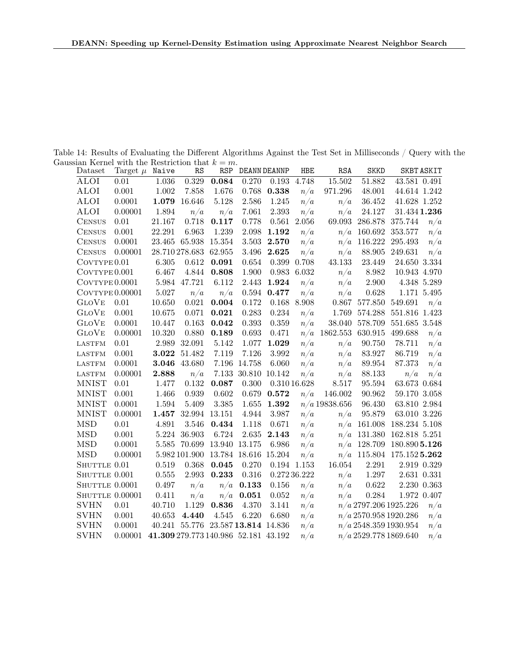Table 14: Results of Evaluating the Different Algorithms Against the Test Set in Milliseconds / Query with the Gaussian Kernel with the Restriction that  $k = m$ .

<span id="page-27-0"></span>

| Dataset                 | Target $\mu$ Naive |                                      | RS             | <b>RSP</b>                         |                     | DEANN DEANNP | HBE           | RSA             | <b>SKKD</b>             |                             | <b>SKBT ASKIT</b> |
|-------------------------|--------------------|--------------------------------------|----------------|------------------------------------|---------------------|--------------|---------------|-----------------|-------------------------|-----------------------------|-------------------|
| <b>ALOI</b>             | 0.01               | $1.036\,$                            | 0.329          | 0.084                              | 0.270               |              | 0.193 4.748   | 15.502          | 51.882                  | 43.581 0.491                |                   |
| <b>ALOI</b>             | $0.001\,$          | 1.002                                | 7.858          | 1.676                              | 0.768               | 0.338        | n/a           | 971.296         | 48.001                  | 44.614 1.242                |                   |
| <b>ALOI</b>             | 0.0001             | 1.079                                | 16.646         | 5.128                              | 2.586               | 1.245        | n/a           | n/a             | 36.452                  | $41.628\; \; 1.252$         |                   |
| <b>ALOI</b>             | 0.00001            | 1.894                                | n/a            | n/a                                | 7.061               | $2.393\,$    | n/a           | n/a             | 24.127                  | $31.434$ $1.236$            |                   |
| <b>CENSUS</b>           | 0.01               | 21.167                               | 0.718          | 0.117                              | 0.778               |              | $0.561$ 2.056 |                 | 69.093 286.878          | 375.744                     | n/a               |
| <b>CENSUS</b>           | 0.001              | 22.291                               | 6.963          | 1.239                              | 2.098               | 1.192        | n/a           | n/a             | 160.692                 | 353.577                     | n/a               |
| <b>CENSUS</b>           | 0.0001             |                                      |                | 23.465 65.938 15.354               | 3.503               | 2.570        | n/a           | n/a             | 116.222                 | 295.493                     | n/a               |
| <b>CENSUS</b>           | 0.00001            |                                      | 28.710 278.683 | 62.955                             | 3.496               | 2.625        | n/a           | n/a             | 88.905                  | 249.631                     | n/a               |
| COVTYPE <sub>0.01</sub> |                    | 6.305                                | 0.612          | 0.091                              | 0.654               | 0.399        | 0.708         | 43.133          | 23.449                  | 24.650 3.334                |                   |
| $Cov$ TYPE $0.001$      |                    | 6.467                                | 4.844          | 0.808                              | 1.900               | 0.983        | 6.032         | n/a             | 8.982                   | 10.943 4.970                |                   |
| $Cov$ TYPE $0.0001$     |                    |                                      | 5.984 47.721   | 6.112                              | 2.443               | 1.924        | n/a           | n/a             | 2.900                   |                             | 4.348 5.289       |
| $Cov$ TYPE $0.00001$    |                    | 5.027                                | n/a            | n/a                                | 0.594               | 0.477        | n/a           | n/a             | 0.628                   |                             | 1.171 5.495       |
| <b>GLOVE</b>            | 0.01               | 10.650                               | 0.021          | 0.004                              | 0.172               |              | 0.168 8.908   |                 | 0.867 577.850           | 549.691                     | n/a               |
| <b>GLOVE</b>            | 0.001              | 10.675                               | 0.071          | 0.021                              | 0.283               | 0.234        | n/a           | 1.769           | 574.288                 | 551.816 1.423               |                   |
| <b>GLOVE</b>            | 0.0001             | 10.447                               | 0.163          | $\bf 0.042$                        | 0.393               | $0.359\,$    | n/a           | 38.040          | 578.709                 | 551.685 3.548               |                   |
| <b>GLOVE</b>            | 0.00001            | 10.320                               | 0.880          | 0.189                              | 0.693               | 0.471        |               | $n/a$ 1862.553  | 630.915                 | 499.688                     | n/a               |
| <b>LASTFM</b>           | 0.01               | 2.989                                | 32.091         | $5.142\,$                          | 1.077               | 1.029        | n/a           | n/a             | 90.750                  | 78.711                      | n/a               |
| <b>LASTFM</b>           | 0.001              | 3.022                                | 51.482         | 7.119                              | 7.126               | 3.992        | n/a           | n/a             | 83.927                  | 86.719                      | n/a               |
| <b>LASTFM</b>           | 0.0001             |                                      | 3.046 43.680   |                                    | 7.196 14.758        | 6.060        | n/a           | n/a             | 89.954                  | 87.373                      | n/a               |
| <b>LASTFM</b>           | 0.00001            | 2.888                                | n/a            |                                    | 7.133 30.810 10.142 |              | n/a           | n/a             | 88.133                  | n/a                         | n/a               |
| <b>MNIST</b>            | 0.01               | 1.477                                | 0.132          | 0.087                              | 0.300               |              | 0.31016.628   | 8.517           | 95.594                  | 63.673 0.684                |                   |
| <b>MNIST</b>            | 0.001              | 1.466                                | 0.939          | 0.602                              | 0.679               | 0.572        | n/a           | 146.002         | 90.962                  | 59.170 3.058                |                   |
| <b>MNIST</b>            | 0.0001             | 1.594                                | 5.409          | $3.385\,$                          | 1.655               | 1.392        |               | $n/a$ 19838.656 | 96.430                  | 63.810 2.984                |                   |
| <b>MNIST</b>            | 0.00001            |                                      |                | 1.457 32.994 13.151                | 4.944               | 3.987        | n/a           | n/a             | 95.879                  | 63.010 3.226                |                   |
| <b>MSD</b>              | $0.01\,$           | 4.891                                | 3.546          | 0.434                              | 1.118               | 0.671        | n/a           |                 | $n/a$ 161.008           | 188.234 5.108               |                   |
| <b>MSD</b>              | 0.001              |                                      | 5.224 36.903   | 6.724                              | 2.635               | 2.143        | n/a           |                 | $n/a$ 131.380           | 162.818 5.251               |                   |
| <b>MSD</b>              | 0.0001             |                                      |                | 5.585 70.699 13.940 13.175         |                     | 6.986        | n/a           |                 | $n/a$ 128.709           | 180.890 5.126               |                   |
| <b>MSD</b>              | 0.00001            |                                      |                | 5.982 101.900 13.784 18.616 15.204 |                     |              | n/a           |                 |                         | $n/a$ 115.804 175.152 5.262 |                   |
| SHUTTLE 0.01            |                    | 0.519                                | 0.368          | 0.045                              | 0.270               |              | $0.194$ 1.153 | 16.054          | 2.291                   |                             | 2.919 0.329       |
| SHUTTLE 0.001           |                    | 0.555                                | 2.993          | 0.233                              | 0.316               |              | 0.27236.222   | n/a             | 1.297                   |                             | 2.631 0.331       |
| SHUTTLE 0.0001          |                    | 0.497                                | n/a            |                                    | $n/a$ 0.133         | 0.156        | n/a           | n/a             | 0.622                   |                             | 2.230 0.363       |
| SHUTTLE 0.00001         |                    | 0.411                                | n/a            |                                    | $n/a$ 0.051         | 0.052        | n/a           | n/a             | $0.284\,$               |                             | 1.972 0.407       |
| <b>SVHN</b>             | 0.01               | 40.710                               | 1.129          | 0.836                              | 4.370               | 3.141        | n/a           |                 |                         | $n/a$ 2797.206 1925.226     | n/a               |
| <b>SVHN</b>             | 0.001              | 40.653                               | 4.440          | 4.545                              | 6.220               | 6.680        | n/a           |                 |                         | $n/a$ 2570.958 1920.286     | n/a               |
| <b>SVHN</b>             | 0.0001             |                                      |                | 40.241 55.776 23.587 13.814 14.836 |                     |              | n/a           |                 |                         | $n/a$ 2548.359 1930.954     | n/a               |
| <b>SVHN</b>             | 0.00001            | 41.309 279.773 140.986 52.181 43.192 |                |                                    |                     |              | n/a           |                 | $n/a$ 2529.778 1869.640 |                             | n/a               |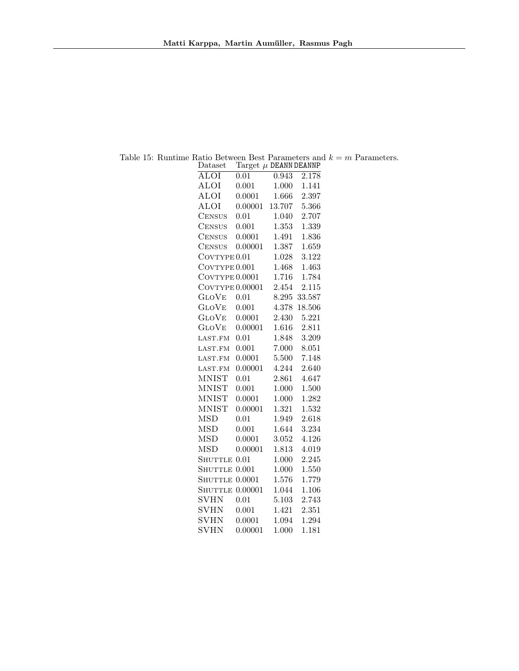<span id="page-28-0"></span>

| Dataset                    | Target $\mu$ DEANN DEANNP |        |                    |
|----------------------------|---------------------------|--------|--------------------|
| $\overline{\mathrm{ALOI}}$ | $\overline{0.0}1$         | 0.943  | $\overline{2.178}$ |
| <b>ALOI</b>                | 0.001                     | 1.000  | 1.141              |
| <b>ALOI</b>                | 0.0001                    | 1.666  | 2.397              |
| <b>ALOI</b>                | 0.00001                   | 13.707 | 5.366              |
| <b>CENSUS</b>              | 0.01                      | 1.040  | 2.707              |
| <b>CENSUS</b>              | 0.001                     | 1.353  | 1.339              |
| <b>CENSUS</b>              | 0.0001                    | 1.491  | 1.836              |
| <b>CENSUS</b>              | 0.00001                   | 1.387  | 1.659              |
| COVTYPE <sub>0.01</sub>    |                           | 1.028  | 3.122              |
| COVTYPE 0.001              |                           | 1.468  | 1.463              |
| $\text{CovType}\,0.0001$   |                           | 1.716  | 1.784              |
| COVTYPE 0.00001            |                           | 2.454  | 2.115              |
| <b>GLOVE</b>               | 0.01                      | 8.295  | 33.587             |
| <b>GLOVE</b>               | 0.001                     | 4.378  | 18.506             |
| <b>GLOVE</b>               | 0.0001                    | 2.430  | 5.221              |
| <b>GLOVE</b>               | 0.00001                   | 1.616  | 2.811              |
| LAST.FM                    | 0.01                      | 1.848  | 3.209              |
| LAST.FM                    | 0.001                     | 7.000  | 8.051              |
| LAST.FM                    | 0.0001                    | 5.500  | 7.148              |
| LAST.FM                    | 0.00001                   | 4.244  | 2.640              |
| <b>MNIST</b>               | 0.01                      | 2.861  | 4.647              |
| <b>MNIST</b>               | 0.001                     | 1.000  | 1.500              |
| <b>MNIST</b>               | 0.0001                    | 1.000  | 1.282              |
| <b>MNIST</b>               | 0.00001                   | 1.321  | 1.532              |
| <b>MSD</b>                 | 0.01                      | 1.949  | 2.618              |
| <b>MSD</b>                 | 0.001                     | 1.644  | 3.234              |
| <b>MSD</b>                 | 0.0001                    | 3.052  | 4.126              |
| <b>MSD</b>                 | 0.00001                   | 1.813  | 4.019              |
| <b>SHUTTLE</b>             | 0.01                      | 1.000  | 2.245              |
| <b>SHUTTLE</b>             | 0.001                     | 1.000  | 1.550              |
| <b>SHUTTLE</b>             | 0.0001                    | 1.576  | 1.779              |
| <b>SHUTTLE</b>             | 0.00001                   | 1.044  | 1.106              |
| <b>SVHN</b>                | 0.01                      | 5.103  | 2.743              |
| <b>SVHN</b>                | 0.001                     | 1.421  | 2.351              |
| <b>SVHN</b>                | 0.0001                    | 1.094  | 1.294              |
| <b>SVHN</b>                | 0.00001                   | 1.000  | 1.181              |

Table 15: Runtime Ratio Between Best Parameters and  $k = m$  Parameters.